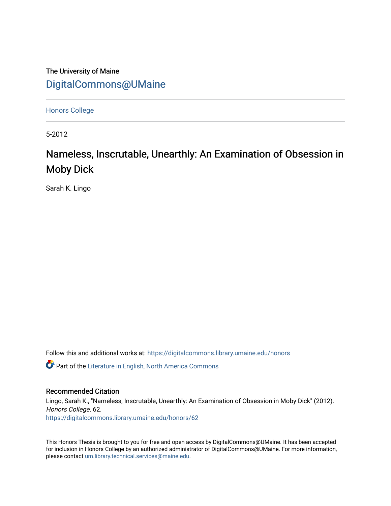The University of Maine [DigitalCommons@UMaine](https://digitalcommons.library.umaine.edu/)

[Honors College](https://digitalcommons.library.umaine.edu/honors)

5-2012

# Nameless, Inscrutable, Unearthly: An Examination of Obsession in Moby Dick

Sarah K. Lingo

Follow this and additional works at: [https://digitalcommons.library.umaine.edu/honors](https://digitalcommons.library.umaine.edu/honors?utm_source=digitalcommons.library.umaine.edu%2Fhonors%2F62&utm_medium=PDF&utm_campaign=PDFCoverPages) 

**C** Part of the Literature in English, North America Commons

## Recommended Citation

Lingo, Sarah K., "Nameless, Inscrutable, Unearthly: An Examination of Obsession in Moby Dick" (2012). Honors College. 62. [https://digitalcommons.library.umaine.edu/honors/62](https://digitalcommons.library.umaine.edu/honors/62?utm_source=digitalcommons.library.umaine.edu%2Fhonors%2F62&utm_medium=PDF&utm_campaign=PDFCoverPages) 

This Honors Thesis is brought to you for free and open access by DigitalCommons@UMaine. It has been accepted for inclusion in Honors College by an authorized administrator of DigitalCommons@UMaine. For more information, please contact [um.library.technical.services@maine.edu.](mailto:um.library.technical.services@maine.edu)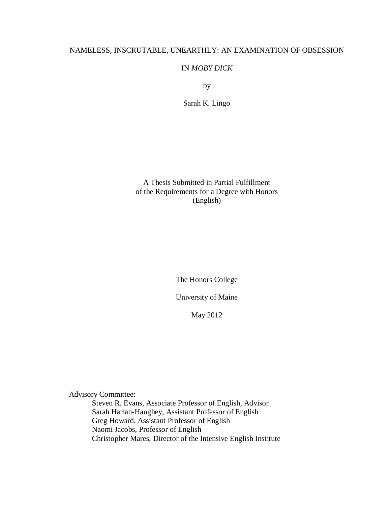## NAMELESS, INSCRUTABLE, UNEARTHLY: AN EXAMINATION OF OBSESSION

## IN *MOBY DICK*

by

Sarah K. Lingo

A Thesis Submitted in Partial Fulfillment of the Requirements for a Degree with Honors (English)

The Honors College

University of Maine

May 2012

Advisory Committee:

Steven R. Evans, Associate Professor of English, Advisor Sarah Harlan-Haughey, Assistant Professor of English Greg Howard, Assistant Professor of English Naomi Jacobs, Professor of English Christopher Mares, Director of the Intensive English Institute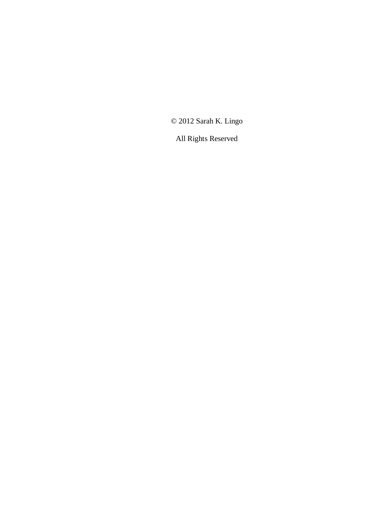© 2012 Sarah K. Lingo

All Rights Reserved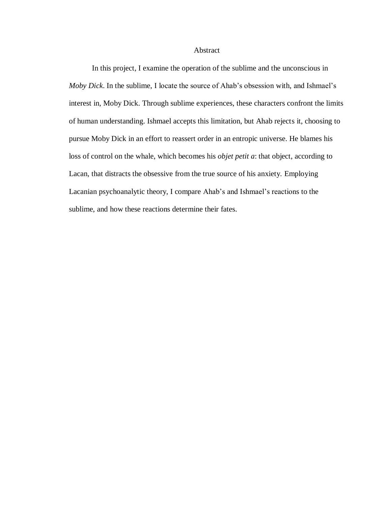#### Abstract

In this project, I examine the operation of the sublime and the unconscious in *Moby Dick*. In the sublime, I locate the source of Ahab's obsession with, and Ishmael's interest in, Moby Dick. Through sublime experiences, these characters confront the limits of human understanding. Ishmael accepts this limitation, but Ahab rejects it, choosing to pursue Moby Dick in an effort to reassert order in an entropic universe. He blames his loss of control on the whale, which becomes his *objet petit a*: that object, according to Lacan, that distracts the obsessive from the true source of his anxiety. Employing Lacanian psychoanalytic theory, I compare Ahab's and Ishmael's reactions to the sublime, and how these reactions determine their fates.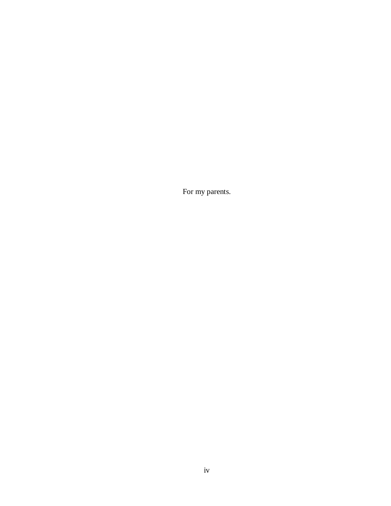For my parents.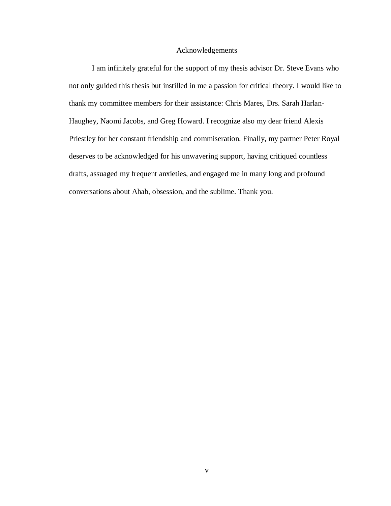#### Acknowledgements

I am infinitely grateful for the support of my thesis advisor Dr. Steve Evans who not only guided this thesis but instilled in me a passion for critical theory. I would like to thank my committee members for their assistance: Chris Mares, Drs. Sarah Harlan-Haughey, Naomi Jacobs, and Greg Howard. I recognize also my dear friend Alexis Priestley for her constant friendship and commiseration. Finally, my partner Peter Royal deserves to be acknowledged for his unwavering support, having critiqued countless drafts, assuaged my frequent anxieties, and engaged me in many long and profound conversations about Ahab, obsession, and the sublime. Thank you.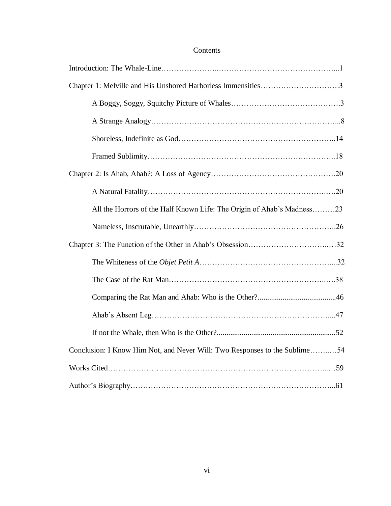## Contents

| Chapter 1: Melville and His Unshored Harborless Immensities3               |
|----------------------------------------------------------------------------|
|                                                                            |
|                                                                            |
|                                                                            |
|                                                                            |
|                                                                            |
|                                                                            |
| All the Horrors of the Half Known Life: The Origin of Ahab's Madness23     |
|                                                                            |
|                                                                            |
|                                                                            |
|                                                                            |
|                                                                            |
|                                                                            |
|                                                                            |
| Conclusion: I Know Him Not, and Never Will: Two Responses to the Sublime54 |
|                                                                            |
|                                                                            |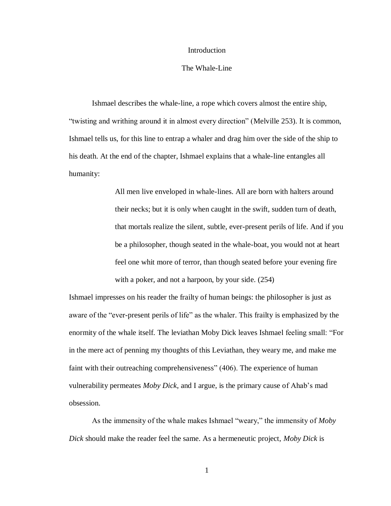#### Introduction

#### The Whale-Line

Ishmael describes the whale-line, a rope which covers almost the entire ship, "twisting and writhing around it in almost every direction" (Melville 253). It is common, Ishmael tells us, for this line to entrap a whaler and drag him over the side of the ship to his death. At the end of the chapter, Ishmael explains that a whale-line entangles all humanity:

> All men live enveloped in whale-lines. All are born with halters around their necks; but it is only when caught in the swift, sudden turn of death, that mortals realize the silent, subtle, ever-present perils of life. And if you be a philosopher, though seated in the whale-boat, you would not at heart feel one whit more of terror, than though seated before your evening fire with a poker, and not a harpoon, by your side. (254)

Ishmael impresses on his reader the frailty of human beings: the philosopher is just as aware of the "ever-present perils of life" as the whaler. This frailty is emphasized by the enormity of the whale itself. The leviathan Moby Dick leaves Ishmael feeling small: "For in the mere act of penning my thoughts of this Leviathan, they weary me, and make me faint with their outreaching comprehensiveness" (406). The experience of human vulnerability permeates *Moby Dick*, and I argue, is the primary cause of Ahab's mad obsession.

As the immensity of the whale makes Ishmael "weary," the immensity of *Moby Dick* should make the reader feel the same. As a hermeneutic project, *Moby Dick* is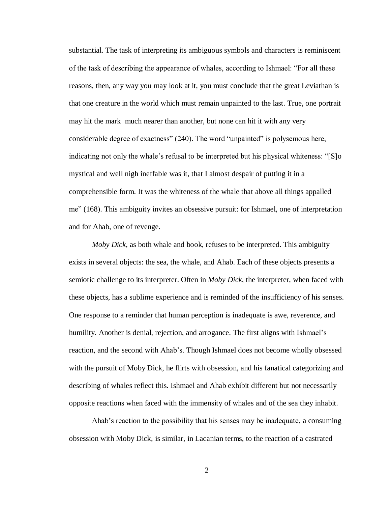substantial. The task of interpreting its ambiguous symbols and characters is reminiscent of the task of describing the appearance of whales, according to Ishmael: "For all these reasons, then, any way you may look at it, you must conclude that the great Leviathan is that one creature in the world which must remain unpainted to the last. True, one portrait may hit the mark much nearer than another, but none can hit it with any very considerable degree of exactness" (240). The word "unpainted" is polysemous here, indicating not only the whale's refusal to be interpreted but his physical whiteness: "[S]o mystical and well nigh ineffable was it, that I almost despair of putting it in a comprehensible form. It was the whiteness of the whale that above all things appalled me" (168). This ambiguity invites an obsessive pursuit: for Ishmael, one of interpretation and for Ahab, one of revenge.

*Moby Dick*, as both whale and book, refuses to be interpreted. This ambiguity exists in several objects: the sea, the whale, and Ahab. Each of these objects presents a semiotic challenge to its interpreter. Often in *Moby Dick*, the interpreter, when faced with these objects, has a sublime experience and is reminded of the insufficiency of his senses. One response to a reminder that human perception is inadequate is awe, reverence, and humility. Another is denial, rejection, and arrogance. The first aligns with Ishmael's reaction, and the second with Ahab's. Though Ishmael does not become wholly obsessed with the pursuit of Moby Dick, he flirts with obsession, and his fanatical categorizing and describing of whales reflect this. Ishmael and Ahab exhibit different but not necessarily opposite reactions when faced with the immensity of whales and of the sea they inhabit.

Ahab's reaction to the possibility that his senses may be inadequate, a consuming obsession with Moby Dick, is similar, in Lacanian terms, to the reaction of a castrated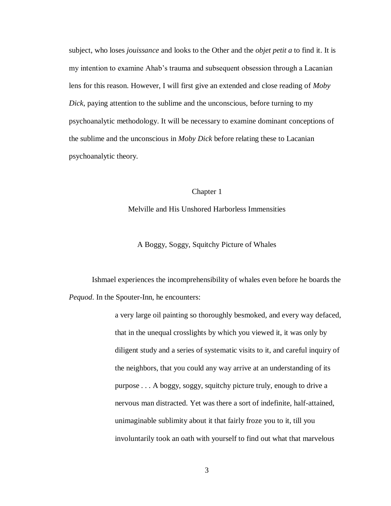subject, who loses *jouissance* and looks to the Other and the *objet petit a* to find it. It is my intention to examine Ahab's trauma and subsequent obsession through a Lacanian lens for this reason. However, I will first give an extended and close reading of *Moby Dick*, paying attention to the sublime and the unconscious, before turning to my psychoanalytic methodology. It will be necessary to examine dominant conceptions of the sublime and the unconscious in *Moby Dick* before relating these to Lacanian psychoanalytic theory.

#### Chapter 1

Melville and His Unshored Harborless Immensities

## A Boggy, Soggy, Squitchy Picture of Whales

Ishmael experiences the incomprehensibility of whales even before he boards the *Pequod*. In the Spouter-Inn, he encounters:

> a very large oil painting so thoroughly besmoked, and every way defaced, that in the unequal crosslights by which you viewed it, it was only by diligent study and a series of systematic visits to it, and careful inquiry of the neighbors, that you could any way arrive at an understanding of its purpose . . . A boggy, soggy, squitchy picture truly, enough to drive a nervous man distracted. Yet was there a sort of indefinite, half-attained, unimaginable sublimity about it that fairly froze you to it, till you involuntarily took an oath with yourself to find out what that marvelous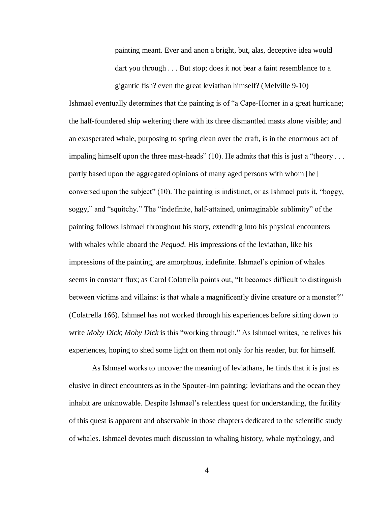painting meant. Ever and anon a bright, but, alas, deceptive idea would dart you through . . . But stop; does it not bear a faint resemblance to a gigantic fish? even the great leviathan himself? (Melville 9-10)

Ishmael eventually determines that the painting is of "a Cape-Horner in a great hurricane; the half-foundered ship weltering there with its three dismantled masts alone visible; and an exasperated whale, purposing to spring clean over the craft, is in the enormous act of impaling himself upon the three mast-heads" (10). He admits that this is just a "theory ... partly based upon the aggregated opinions of many aged persons with whom [he] conversed upon the subject" (10). The painting is indistinct, or as Ishmael puts it, "boggy, soggy," and "squitchy." The "indefinite, half-attained, unimaginable sublimity" of the painting follows Ishmael throughout his story, extending into his physical encounters with whales while aboard the *Pequod*. His impressions of the leviathan, like his impressions of the painting, are amorphous, indefinite. Ishmael's opinion of whales seems in constant flux; as Carol Colatrella points out, "It becomes difficult to distinguish between victims and villains: is that whale a magnificently divine creature or a monster?" (Colatrella 166). Ishmael has not worked through his experiences before sitting down to write *Moby Dick*; *Moby Dick* is this "working through." As Ishmael writes, he relives his experiences, hoping to shed some light on them not only for his reader, but for himself.

As Ishmael works to uncover the meaning of leviathans, he finds that it is just as elusive in direct encounters as in the Spouter-Inn painting: leviathans and the ocean they inhabit are unknowable. Despite Ishmael's relentless quest for understanding, the futility of this quest is apparent and observable in those chapters dedicated to the scientific study of whales. Ishmael devotes much discussion to whaling history, whale mythology, and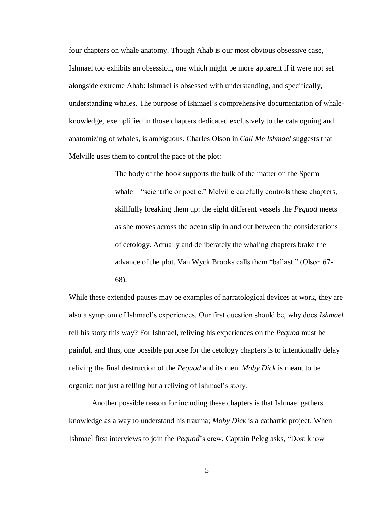four chapters on whale anatomy. Though Ahab is our most obvious obsessive case, Ishmael too exhibits an obsession, one which might be more apparent if it were not set alongside extreme Ahab: Ishmael is obsessed with understanding, and specifically, understanding whales. The purpose of Ishmael's comprehensive documentation of whaleknowledge, exemplified in those chapters dedicated exclusively to the cataloguing and anatomizing of whales, is ambiguous. Charles Olson in *Call Me Ishmael* suggests that Melville uses them to control the pace of the plot:

> The body of the book supports the bulk of the matter on the Sperm whale—"scientific or poetic." Melville carefully controls these chapters, skillfully breaking them up: the eight different vessels the *Pequod* meets as she moves across the ocean slip in and out between the considerations of cetology. Actually and deliberately the whaling chapters brake the advance of the plot. Van Wyck Brooks calls them "ballast." (Olson 67- 68).

While these extended pauses may be examples of narratological devices at work, they are also a symptom of Ishmael's experiences. Our first question should be, why does *Ishmael*  tell his story this way? For Ishmael, reliving his experiences on the *Pequod* must be painful, and thus, one possible purpose for the cetology chapters is to intentionally delay reliving the final destruction of the *Pequod* and its men. *Moby Dick* is meant to be organic: not just a telling but a reliving of Ishmael's story.

Another possible reason for including these chapters is that Ishmael gathers knowledge as a way to understand his trauma; *Moby Dick* is a cathartic project. When Ishmael first interviews to join the *Pequod*'s crew, Captain Peleg asks, "Dost know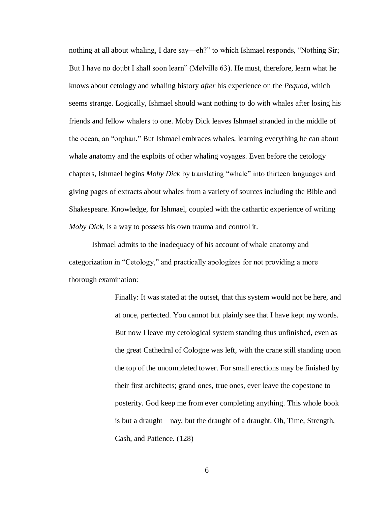nothing at all about whaling, I dare say—eh?" to which Ishmael responds, "Nothing Sir; But I have no doubt I shall soon learn" (Melville 63). He must, therefore, learn what he knows about cetology and whaling history *after* his experience on the *Pequod*, which seems strange. Logically, Ishmael should want nothing to do with whales after losing his friends and fellow whalers to one. Moby Dick leaves Ishmael stranded in the middle of the ocean, an "orphan." But Ishmael embraces whales, learning everything he can about whale anatomy and the exploits of other whaling voyages. Even before the cetology chapters, Ishmael begins *Moby Dick* by translating "whale" into thirteen languages and giving pages of extracts about whales from a variety of sources including the Bible and Shakespeare. Knowledge, for Ishmael, coupled with the cathartic experience of writing *Moby Dick*, is a way to possess his own trauma and control it.

Ishmael admits to the inadequacy of his account of whale anatomy and categorization in "Cetology," and practically apologizes for not providing a more thorough examination:

> Finally: It was stated at the outset, that this system would not be here, and at once, perfected. You cannot but plainly see that I have kept my words. But now I leave my cetological system standing thus unfinished, even as the great Cathedral of Cologne was left, with the crane still standing upon the top of the uncompleted tower. For small erections may be finished by their first architects; grand ones, true ones, ever leave the copestone to posterity. God keep me from ever completing anything. This whole book is but a draught—nay, but the draught of a draught. Oh, Time, Strength, Cash, and Patience. (128)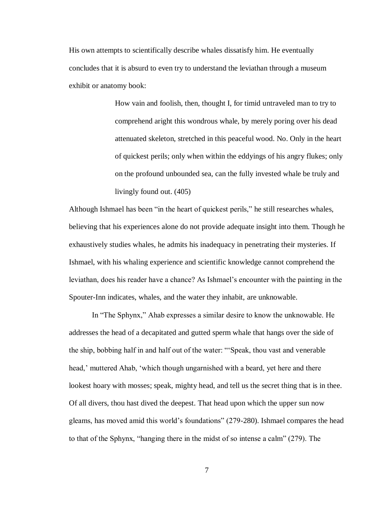His own attempts to scientifically describe whales dissatisfy him. He eventually concludes that it is absurd to even try to understand the leviathan through a museum exhibit or anatomy book:

> How vain and foolish, then, thought I, for timid untraveled man to try to comprehend aright this wondrous whale, by merely poring over his dead attenuated skeleton, stretched in this peaceful wood. No. Only in the heart of quickest perils; only when within the eddyings of his angry flukes; only on the profound unbounded sea, can the fully invested whale be truly and livingly found out. (405)

Although Ishmael has been "in the heart of quickest perils," he still researches whales, believing that his experiences alone do not provide adequate insight into them. Though he exhaustively studies whales, he admits his inadequacy in penetrating their mysteries. If Ishmael, with his whaling experience and scientific knowledge cannot comprehend the leviathan, does his reader have a chance? As Ishmael's encounter with the painting in the Spouter-Inn indicates, whales, and the water they inhabit, are unknowable.

In "The Sphynx," Ahab expresses a similar desire to know the unknowable. He addresses the head of a decapitated and gutted sperm whale that hangs over the side of the ship, bobbing half in and half out of the water: "'Speak, thou vast and venerable head,' muttered Ahab, 'which though ungarnished with a beard, yet here and there lookest hoary with mosses; speak, mighty head, and tell us the secret thing that is in thee. Of all divers, thou hast dived the deepest. That head upon which the upper sun now gleams, has moved amid this world's foundations" (279-280). Ishmael compares the head to that of the Sphynx, "hanging there in the midst of so intense a calm" (279). The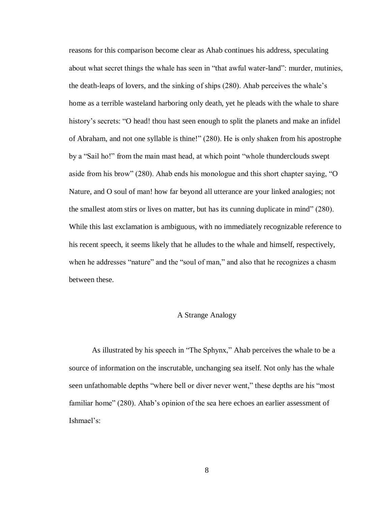reasons for this comparison become clear as Ahab continues his address, speculating about what secret things the whale has seen in "that awful water-land": murder, mutinies, the death-leaps of lovers, and the sinking of ships (280). Ahab perceives the whale's home as a terrible wasteland harboring only death, yet he pleads with the whale to share history's secrets: "O head! thou hast seen enough to split the planets and make an infidel of Abraham, and not one syllable is thine!" (280). He is only shaken from his apostrophe by a "Sail ho!" from the main mast head, at which point "whole thunderclouds swept aside from his brow" (280). Ahab ends his monologue and this short chapter saying, "O Nature, and O soul of man! how far beyond all utterance are your linked analogies; not the smallest atom stirs or lives on matter, but has its cunning duplicate in mind" (280). While this last exclamation is ambiguous, with no immediately recognizable reference to his recent speech, it seems likely that he alludes to the whale and himself, respectively, when he addresses "nature" and the "soul of man," and also that he recognizes a chasm between these.

#### A Strange Analogy

As illustrated by his speech in "The Sphynx," Ahab perceives the whale to be a source of information on the inscrutable, unchanging sea itself. Not only has the whale seen unfathomable depths "where bell or diver never went," these depths are his "most familiar home" (280). Ahab's opinion of the sea here echoes an earlier assessment of Ishmael's: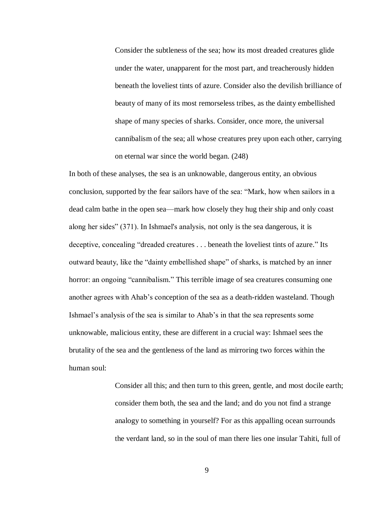Consider the subtleness of the sea; how its most dreaded creatures glide under the water, unapparent for the most part, and treacherously hidden beneath the loveliest tints of azure. Consider also the devilish brilliance of beauty of many of its most remorseless tribes, as the dainty embellished shape of many species of sharks. Consider, once more, the universal cannibalism of the sea; all whose creatures prey upon each other, carrying on eternal war since the world began. (248)

In both of these analyses, the sea is an unknowable, dangerous entity, an obvious conclusion, supported by the fear sailors have of the sea: "Mark, how when sailors in a dead calm bathe in the open sea—mark how closely they hug their ship and only coast along her sides" (371). In Ishmael's analysis, not only is the sea dangerous, it is deceptive, concealing "dreaded creatures . . . beneath the loveliest tints of azure." Its outward beauty, like the "dainty embellished shape" of sharks, is matched by an inner horror: an ongoing "cannibalism." This terrible image of sea creatures consuming one another agrees with Ahab's conception of the sea as a death-ridden wasteland. Though Ishmael's analysis of the sea is similar to Ahab's in that the sea represents some unknowable, malicious entity, these are different in a crucial way: Ishmael sees the brutality of the sea and the gentleness of the land as mirroring two forces within the human soul:

> Consider all this; and then turn to this green, gentle, and most docile earth; consider them both, the sea and the land; and do you not find a strange analogy to something in yourself? For as this appalling ocean surrounds the verdant land, so in the soul of man there lies one insular Tahiti, full of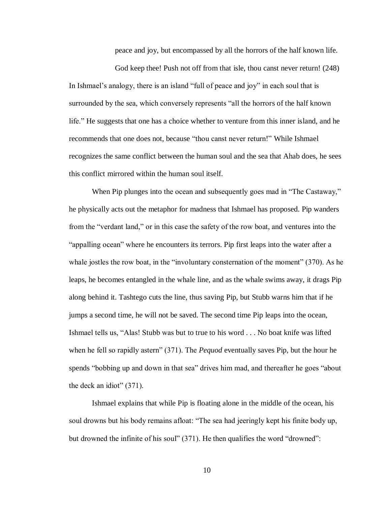peace and joy, but encompassed by all the horrors of the half known life.

God keep thee! Push not off from that isle, thou canst never return! (248) In Ishmael's analogy, there is an island "full of peace and joy" in each soul that is surrounded by the sea, which conversely represents "all the horrors of the half known life." He suggests that one has a choice whether to venture from this inner island, and he recommends that one does not, because "thou canst never return!" While Ishmael recognizes the same conflict between the human soul and the sea that Ahab does, he sees this conflict mirrored within the human soul itself.

When Pip plunges into the ocean and subsequently goes mad in "The Castaway," he physically acts out the metaphor for madness that Ishmael has proposed. Pip wanders from the "verdant land," or in this case the safety of the row boat, and ventures into the "appalling ocean" where he encounters its terrors. Pip first leaps into the water after a whale jostles the row boat, in the "involuntary consternation of the moment" (370). As he leaps, he becomes entangled in the whale line, and as the whale swims away, it drags Pip along behind it. Tashtego cuts the line, thus saving Pip, but Stubb warns him that if he jumps a second time, he will not be saved. The second time Pip leaps into the ocean, Ishmael tells us, "Alas! Stubb was but to true to his word . . . No boat knife was lifted when he fell so rapidly astern" (371). The *Pequod* eventually saves Pip, but the hour he spends "bobbing up and down in that sea" drives him mad, and thereafter he goes "about the deck an idiot" (371).

Ishmael explains that while Pip is floating alone in the middle of the ocean, his soul drowns but his body remains afloat: "The sea had jeeringly kept his finite body up, but drowned the infinite of his soul" (371). He then qualifies the word "drowned":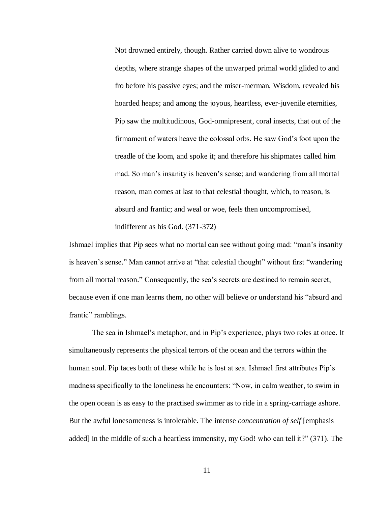Not drowned entirely, though. Rather carried down alive to wondrous depths, where strange shapes of the unwarped primal world glided to and fro before his passive eyes; and the miser-merman, Wisdom, revealed his hoarded heaps; and among the joyous, heartless, ever-juvenile eternities, Pip saw the multitudinous, God-omnipresent, coral insects, that out of the firmament of waters heave the colossal orbs. He saw God's foot upon the treadle of the loom, and spoke it; and therefore his shipmates called him mad. So man's insanity is heaven's sense; and wandering from all mortal reason, man comes at last to that celestial thought, which, to reason, is absurd and frantic; and weal or woe, feels then uncompromised, indifferent as his God. (371-372)

Ishmael implies that Pip sees what no mortal can see without going mad: "man's insanity is heaven's sense." Man cannot arrive at "that celestial thought" without first "wandering from all mortal reason." Consequently, the sea's secrets are destined to remain secret, because even if one man learns them, no other will believe or understand his "absurd and frantic" ramblings.

The sea in Ishmael's metaphor, and in Pip's experience, plays two roles at once. It simultaneously represents the physical terrors of the ocean and the terrors within the human soul. Pip faces both of these while he is lost at sea. Ishmael first attributes Pip's madness specifically to the loneliness he encounters: "Now, in calm weather, to swim in the open ocean is as easy to the practised swimmer as to ride in a spring-carriage ashore. But the awful lonesomeness is intolerable. The intense *concentration of self* [emphasis added] in the middle of such a heartless immensity, my God! who can tell it?" (371). The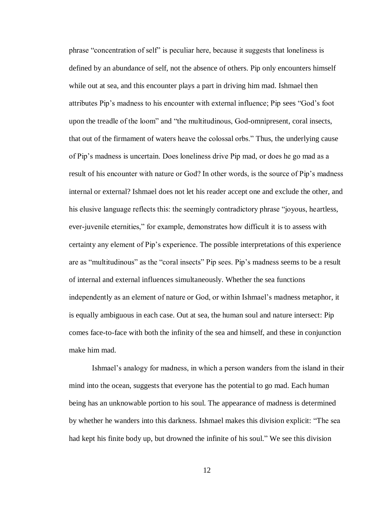phrase "concentration of self" is peculiar here, because it suggests that loneliness is defined by an abundance of self, not the absence of others. Pip only encounters himself while out at sea, and this encounter plays a part in driving him mad. Ishmael then attributes Pip's madness to his encounter with external influence; Pip sees "God's foot upon the treadle of the loom" and "the multitudinous, God-omnipresent, coral insects, that out of the firmament of waters heave the colossal orbs." Thus, the underlying cause of Pip's madness is uncertain. Does loneliness drive Pip mad, or does he go mad as a result of his encounter with nature or God? In other words, is the source of Pip's madness internal or external? Ishmael does not let his reader accept one and exclude the other, and his elusive language reflects this: the seemingly contradictory phrase "joyous, heartless, ever-juvenile eternities," for example, demonstrates how difficult it is to assess with certainty any element of Pip's experience. The possible interpretations of this experience are as "multitudinous" as the "coral insects" Pip sees. Pip's madness seems to be a result of internal and external influences simultaneously. Whether the sea functions independently as an element of nature or God, or within Ishmael's madness metaphor, it is equally ambiguous in each case. Out at sea, the human soul and nature intersect: Pip comes face-to-face with both the infinity of the sea and himself, and these in conjunction make him mad.

Ishmael's analogy for madness, in which a person wanders from the island in their mind into the ocean, suggests that everyone has the potential to go mad. Each human being has an unknowable portion to his soul. The appearance of madness is determined by whether he wanders into this darkness. Ishmael makes this division explicit: "The sea had kept his finite body up, but drowned the infinite of his soul." We see this division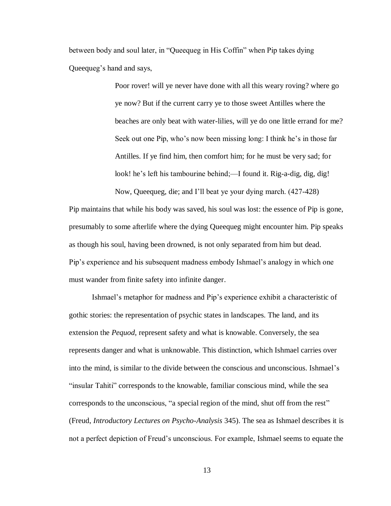between body and soul later, in "Queequeg in His Coffin" when Pip takes dying Queequeg's hand and says,

> Poor rover! will ye never have done with all this weary roving? where go ye now? But if the current carry ye to those sweet Antilles where the beaches are only beat with water-lilies, will ye do one little errand for me? Seek out one Pip, who's now been missing long: I think he's in those far Antilles. If ye find him, then comfort him; for he must be very sad; for look! he's left his tambourine behind;—I found it. Rig-a-dig, dig, dig! Now, Queequeg, die; and I'll beat ye your dying march. (427-428)

Pip maintains that while his body was saved, his soul was lost: the essence of Pip is gone, presumably to some afterlife where the dying Queequeg might encounter him. Pip speaks as though his soul, having been drowned, is not only separated from him but dead. Pip's experience and his subsequent madness embody Ishmael's analogy in which one must wander from finite safety into infinite danger.

Ishmael's metaphor for madness and Pip's experience exhibit a characteristic of gothic stories: the representation of psychic states in landscapes. The land, and its extension the *Pequod*, represent safety and what is knowable. Conversely, the sea represents danger and what is unknowable. This distinction, which Ishmael carries over into the mind, is similar to the divide between the conscious and unconscious. Ishmael's "insular Tahiti" corresponds to the knowable, familiar conscious mind, while the sea corresponds to the unconscious, "a special region of the mind, shut off from the rest" (Freud, *Introductory Lectures on Psycho-Analysis* 345). The sea as Ishmael describes it is not a perfect depiction of Freud's unconscious. For example, Ishmael seems to equate the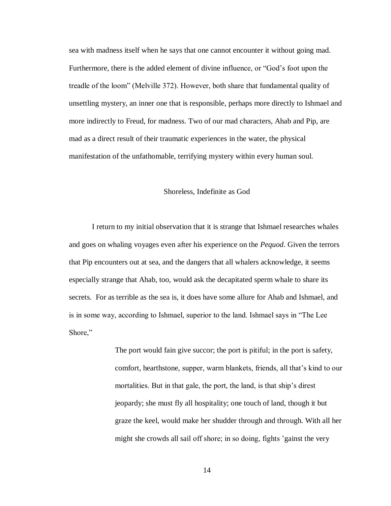sea with madness itself when he says that one cannot encounter it without going mad. Furthermore, there is the added element of divine influence, or "God's foot upon the treadle of the loom" (Melville 372). However, both share that fundamental quality of unsettling mystery, an inner one that is responsible, perhaps more directly to Ishmael and more indirectly to Freud, for madness. Two of our mad characters, Ahab and Pip, are mad as a direct result of their traumatic experiences in the water, the physical manifestation of the unfathomable, terrifying mystery within every human soul.

## Shoreless, Indefinite as God

I return to my initial observation that it is strange that Ishmael researches whales and goes on whaling voyages even after his experience on the *Pequod*. Given the terrors that Pip encounters out at sea, and the dangers that all whalers acknowledge, it seems especially strange that Ahab, too, would ask the decapitated sperm whale to share its secrets. For as terrible as the sea is, it does have some allure for Ahab and Ishmael, and is in some way, according to Ishmael, superior to the land. Ishmael says in "The Lee Shore,"

> The port would fain give succor; the port is pitiful; in the port is safety, comfort, hearthstone, supper, warm blankets, friends, all that's kind to our mortalities. But in that gale, the port, the land, is that ship's direst jeopardy; she must fly all hospitality; one touch of land, though it but graze the keel, would make her shudder through and through. With all her might she crowds all sail off shore; in so doing, fights 'gainst the very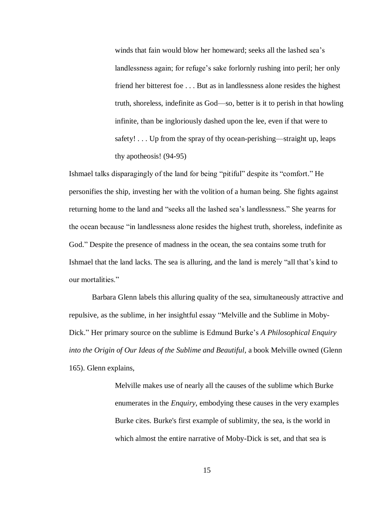winds that fain would blow her homeward; seeks all the lashed sea's landlessness again; for refuge's sake forlornly rushing into peril; her only friend her bitterest foe . . . But as in landlessness alone resides the highest truth, shoreless, indefinite as God—so, better is it to perish in that howling infinite, than be ingloriously dashed upon the lee, even if that were to safety! . . . Up from the spray of thy ocean-perishing—straight up, leaps thy apotheosis! (94-95)

Ishmael talks disparagingly of the land for being "pitiful" despite its "comfort." He personifies the ship, investing her with the volition of a human being. She fights against returning home to the land and "seeks all the lashed sea's landlessness." She yearns for the ocean because "in landlessness alone resides the highest truth, shoreless, indefinite as God." Despite the presence of madness in the ocean, the sea contains some truth for Ishmael that the land lacks. The sea is alluring, and the land is merely "all that's kind to our mortalities."

Barbara Glenn labels this alluring quality of the sea, simultaneously attractive and repulsive, as the sublime, in her insightful essay "Melville and the Sublime in Moby-Dick." Her primary source on the sublime is Edmund Burke's *A Philosophical Enquiry into the Origin of Our Ideas of the Sublime and Beautiful*, a book Melville owned (Glenn 165). Glenn explains,

> Melville makes use of nearly all the causes of the sublime which Burke enumerates in the *Enquiry*, embodying these causes in the very examples Burke cites. Burke's first example of sublimity, the sea, is the world in which almost the entire narrative of Moby-Dick is set, and that sea is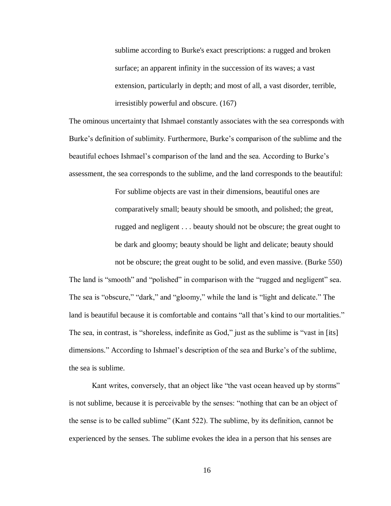sublime according to Burke's exact prescriptions: a rugged and broken surface; an apparent infinity in the succession of its waves; a vast extension, particularly in depth; and most of all, a vast disorder, terrible, irresistibly powerful and obscure. (167)

The ominous uncertainty that Ishmael constantly associates with the sea corresponds with Burke's definition of sublimity. Furthermore, Burke's comparison of the sublime and the beautiful echoes Ishmael's comparison of the land and the sea. According to Burke's assessment, the sea corresponds to the sublime, and the land corresponds to the beautiful:

> For sublime objects are vast in their dimensions, beautiful ones are comparatively small; beauty should be smooth, and polished; the great, rugged and negligent . . . beauty should not be obscure; the great ought to be dark and gloomy; beauty should be light and delicate; beauty should not be obscure; the great ought to be solid, and even massive. (Burke 550)

The land is "smooth" and "polished" in comparison with the "rugged and negligent" sea. The sea is "obscure," "dark," and "gloomy," while the land is "light and delicate." The land is beautiful because it is comfortable and contains "all that's kind to our mortalities." The sea, in contrast, is "shoreless, indefinite as God," just as the sublime is "vast in [its] dimensions." According to Ishmael's description of the sea and Burke's of the sublime, the sea is sublime.

Kant writes, conversely, that an object like "the vast ocean heaved up by storms" is not sublime, because it is perceivable by the senses: "nothing that can be an object of the sense is to be called sublime" (Kant 522). The sublime, by its definition, cannot be experienced by the senses. The sublime evokes the idea in a person that his senses are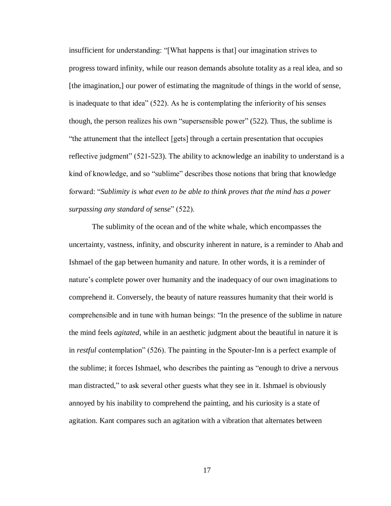insufficient for understanding: "[What happens is that] our imagination strives to progress toward infinity, while our reason demands absolute totality as a real idea, and so [the imagination,] our power of estimating the magnitude of things in the world of sense, is inadequate to that idea" (522). As he is contemplating the inferiority of his senses though, the person realizes his own "supersensible power" (522). Thus, the sublime is "the attunement that the intellect [gets] through a certain presentation that occupies reflective judgment" (521-523). The ability to acknowledge an inability to understand is a kind of knowledge, and so "sublime" describes those notions that bring that knowledge forward: "*Sublimity is what even to be able to think proves that the mind has a power surpassing any standard of sense*" (522).

The sublimity of the ocean and of the white whale, which encompasses the uncertainty, vastness, infinity, and obscurity inherent in nature, is a reminder to Ahab and Ishmael of the gap between humanity and nature. In other words, it is a reminder of nature's complete power over humanity and the inadequacy of our own imaginations to comprehend it. Conversely, the beauty of nature reassures humanity that their world is comprehensible and in tune with human beings: "In the presence of the sublime in nature the mind feels *agitated*, while in an aesthetic judgment about the beautiful in nature it is in *restful* contemplation" (526). The painting in the Spouter-Inn is a perfect example of the sublime; it forces Ishmael, who describes the painting as "enough to drive a nervous man distracted," to ask several other guests what they see in it. Ishmael is obviously annoyed by his inability to comprehend the painting, and his curiosity is a state of agitation. Kant compares such an agitation with a vibration that alternates between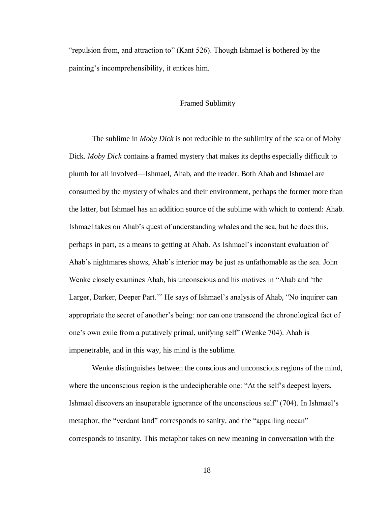"repulsion from, and attraction to" (Kant 526). Though Ishmael is bothered by the painting's incomprehensibility, it entices him.

#### Framed Sublimity

The sublime in *Moby Dick* is not reducible to the sublimity of the sea or of Moby Dick. *Moby Dick* contains a framed mystery that makes its depths especially difficult to plumb for all involved—Ishmael, Ahab, and the reader. Both Ahab and Ishmael are consumed by the mystery of whales and their environment, perhaps the former more than the latter, but Ishmael has an addition source of the sublime with which to contend: Ahab. Ishmael takes on Ahab's quest of understanding whales and the sea, but he does this, perhaps in part, as a means to getting at Ahab. As Ishmael's inconstant evaluation of Ahab's nightmares shows, Ahab's interior may be just as unfathomable as the sea. John Wenke closely examines Ahab, his unconscious and his motives in "Ahab and 'the Larger, Darker, Deeper Part.'" He says of Ishmael's analysis of Ahab, "No inquirer can appropriate the secret of another's being: nor can one transcend the chronological fact of one's own exile from a putatively primal, unifying self" (Wenke 704). Ahab is impenetrable, and in this way, his mind is the sublime.

Wenke distinguishes between the conscious and unconscious regions of the mind, where the unconscious region is the undecipherable one: "At the self's deepest layers, Ishmael discovers an insuperable ignorance of the unconscious self" (704). In Ishmael's metaphor, the "verdant land" corresponds to sanity, and the "appalling ocean" corresponds to insanity. This metaphor takes on new meaning in conversation with the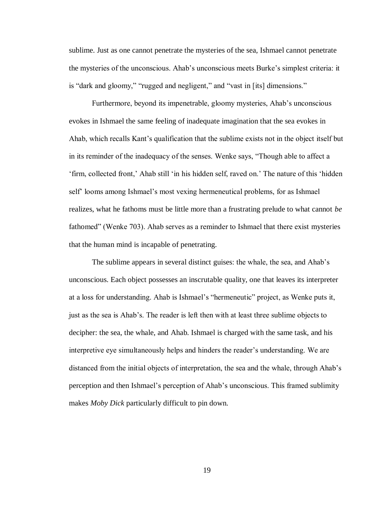sublime. Just as one cannot penetrate the mysteries of the sea, Ishmael cannot penetrate the mysteries of the unconscious. Ahab's unconscious meets Burke's simplest criteria: it is "dark and gloomy," "rugged and negligent," and "vast in [its] dimensions."

Furthermore, beyond its impenetrable, gloomy mysteries, Ahab's unconscious evokes in Ishmael the same feeling of inadequate imagination that the sea evokes in Ahab, which recalls Kant's qualification that the sublime exists not in the object itself but in its reminder of the inadequacy of the senses. Wenke says, "Though able to affect a 'firm, collected front,' Ahab still 'in his hidden self, raved on.' The nature of this 'hidden self' looms among Ishmael's most vexing hermeneutical problems, for as Ishmael realizes, what he fathoms must be little more than a frustrating prelude to what cannot *be* fathomed" (Wenke 703). Ahab serves as a reminder to Ishmael that there exist mysteries that the human mind is incapable of penetrating.

The sublime appears in several distinct guises: the whale, the sea, and Ahab's unconscious. Each object possesses an inscrutable quality, one that leaves its interpreter at a loss for understanding. Ahab is Ishmael's "hermeneutic" project, as Wenke puts it, just as the sea is Ahab's. The reader is left then with at least three sublime objects to decipher: the sea, the whale, and Ahab. Ishmael is charged with the same task, and his interpretive eye simultaneously helps and hinders the reader's understanding. We are distanced from the initial objects of interpretation, the sea and the whale, through Ahab's perception and then Ishmael's perception of Ahab's unconscious. This framed sublimity makes *Moby Dick* particularly difficult to pin down.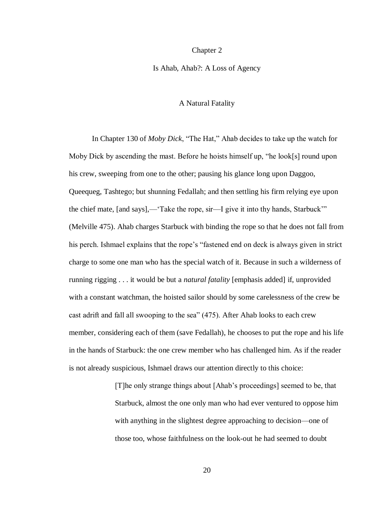#### Chapter 2

#### Is Ahab, Ahab?: A Loss of Agency

## A Natural Fatality

In Chapter 130 of *Moby Dick*, "The Hat," Ahab decides to take up the watch for Moby Dick by ascending the mast. Before he hoists himself up, "he look[s] round upon his crew, sweeping from one to the other; pausing his glance long upon Daggoo, Queequeg, Tashtego; but shunning Fedallah; and then settling his firm relying eye upon the chief mate, [and says],—'Take the rope, sir—I give it into thy hands, Starbuck'" (Melville 475). Ahab charges Starbuck with binding the rope so that he does not fall from his perch. Ishmael explains that the rope's "fastened end on deck is always given in strict charge to some one man who has the special watch of it. Because in such a wilderness of running rigging . . . it would be but a *natural fatality* [emphasis added] if, unprovided with a constant watchman, the hoisted sailor should by some carelessness of the crew be cast adrift and fall all swooping to the sea" (475). After Ahab looks to each crew member, considering each of them (save Fedallah), he chooses to put the rope and his life in the hands of Starbuck: the one crew member who has challenged him. As if the reader is not already suspicious, Ishmael draws our attention directly to this choice:

> [T]he only strange things about [Ahab's proceedings] seemed to be, that Starbuck, almost the one only man who had ever ventured to oppose him with anything in the slightest degree approaching to decision—one of those too, whose faithfulness on the look-out he had seemed to doubt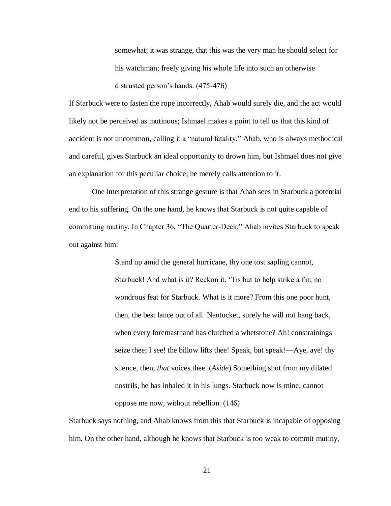somewhat; it was strange, that this was the very man he should select for his watchman; freely giving his whole life into such an otherwise distrusted person's hands. (475-476)

If Starbuck were to fasten the rope incorrectly, Ahab would surely die, and the act would likely not be perceived as mutinous; Ishmael makes a point to tell us that this kind of accident is not uncommon, calling it a "natural fatality." Ahab, who is always methodical and careful, gives Starbuck an ideal opportunity to drown him, but Ishmael does not give an explanation for this peculiar choice; he merely calls attention to it.

One interpretation of this strange gesture is that Ahab sees in Starbuck a potential end to his suffering. On the one hand, he knows that Starbuck is not quite capable of committing mutiny. In Chapter 36, "The Quarter-Deck," Ahab invites Starbuck to speak out against him:

> Stand up amid the general hurricane, thy one tost sapling cannot, Starbuck! And what is it? Reckon it. 'Tis but to help strike a fin; no wondrous feat for Starbuck. What is it more? From this one poor hunt, then, the best lance out of all Nantucket, surely he will not hang back, when every foremasthand has clutched a whetstone? Ah! constrainings seize thee; I see! the billow lifts thee! Speak, but speak!—Aye, aye! thy silence, then, *that* voices thee. (*Aside*) Something shot from my dilated nostrils, he has inhaled it in his lungs. Starbuck now is mine; cannot oppose me now, without rebellion. (146)

Starbuck says nothing, and Ahab knows from this that Starbuck is incapable of opposing him. On the other hand, although he knows that Starbuck is too weak to commit mutiny,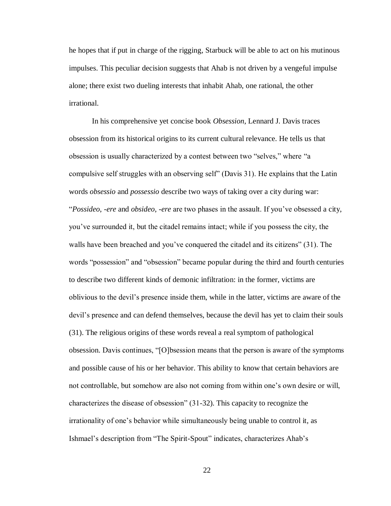he hopes that if put in charge of the rigging, Starbuck will be able to act on his mutinous impulses. This peculiar decision suggests that Ahab is not driven by a vengeful impulse alone; there exist two dueling interests that inhabit Ahab, one rational, the other irrational.

In his comprehensive yet concise book *Obsession*, Lennard J. Davis traces obsession from its historical origins to its current cultural relevance. He tells us that obsession is usually characterized by a contest between two "selves," where "a compulsive self struggles with an observing self" (Davis 31). He explains that the Latin words *obsessio* and *possessio* describe two ways of taking over a city during war: "*Possideo*, *-ere* and *obsideo*, *-ere* are two phases in the assault. If you've obsessed a city, you've surrounded it, but the citadel remains intact; while if you possess the city, the walls have been breached and you've conquered the citadel and its citizens" (31). The words "possession" and "obsession" became popular during the third and fourth centuries to describe two different kinds of demonic infiltration: in the former, victims are oblivious to the devil's presence inside them, while in the latter, victims are aware of the devil's presence and can defend themselves, because the devil has yet to claim their souls (31). The religious origins of these words reveal a real symptom of pathological obsession. Davis continues, "[O]bsession means that the person is aware of the symptoms and possible cause of his or her behavior. This ability to know that certain behaviors are not controllable, but somehow are also not coming from within one's own desire or will, characterizes the disease of obsession" (31-32). This capacity to recognize the irrationality of one's behavior while simultaneously being unable to control it, as Ishmael's description from "The Spirit-Spout" indicates, characterizes Ahab's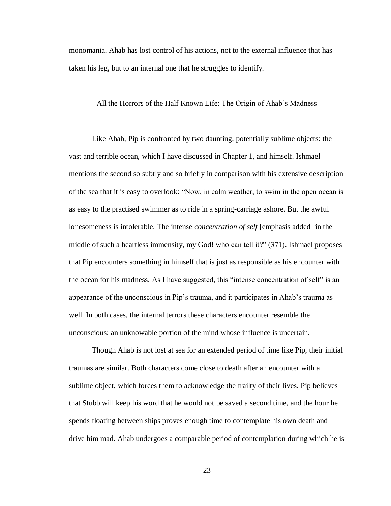monomania. Ahab has lost control of his actions, not to the external influence that has taken his leg, but to an internal one that he struggles to identify.

#### All the Horrors of the Half Known Life: The Origin of Ahab's Madness

Like Ahab, Pip is confronted by two daunting, potentially sublime objects: the vast and terrible ocean, which I have discussed in Chapter 1, and himself. Ishmael mentions the second so subtly and so briefly in comparison with his extensive description of the sea that it is easy to overlook: "Now, in calm weather, to swim in the open ocean is as easy to the practised swimmer as to ride in a spring-carriage ashore. But the awful lonesomeness is intolerable. The intense *concentration of self* [emphasis added] in the middle of such a heartless immensity, my God! who can tell it?" (371). Ishmael proposes that Pip encounters something in himself that is just as responsible as his encounter with the ocean for his madness. As I have suggested, this "intense concentration of self" is an appearance of the unconscious in Pip's trauma, and it participates in Ahab's trauma as well. In both cases, the internal terrors these characters encounter resemble the unconscious: an unknowable portion of the mind whose influence is uncertain.

Though Ahab is not lost at sea for an extended period of time like Pip, their initial traumas are similar. Both characters come close to death after an encounter with a sublime object, which forces them to acknowledge the frailty of their lives. Pip believes that Stubb will keep his word that he would not be saved a second time, and the hour he spends floating between ships proves enough time to contemplate his own death and drive him mad. Ahab undergoes a comparable period of contemplation during which he is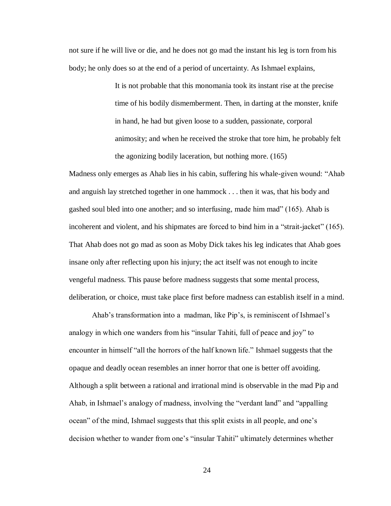not sure if he will live or die, and he does not go mad the instant his leg is torn from his body; he only does so at the end of a period of uncertainty. As Ishmael explains,

> It is not probable that this monomania took its instant rise at the precise time of his bodily dismemberment. Then, in darting at the monster, knife in hand, he had but given loose to a sudden, passionate, corporal animosity; and when he received the stroke that tore him, he probably felt the agonizing bodily laceration, but nothing more. (165)

Madness only emerges as Ahab lies in his cabin, suffering his whale-given wound: "Ahab and anguish lay stretched together in one hammock . . . then it was, that his body and gashed soul bled into one another; and so interfusing, made him mad" (165). Ahab is incoherent and violent, and his shipmates are forced to bind him in a "strait-jacket" (165). That Ahab does not go mad as soon as Moby Dick takes his leg indicates that Ahab goes insane only after reflecting upon his injury; the act itself was not enough to incite vengeful madness. This pause before madness suggests that some mental process, deliberation, or choice, must take place first before madness can establish itself in a mind.

Ahab's transformation into a madman, like Pip's, is reminiscent of Ishmael's analogy in which one wanders from his "insular Tahiti, full of peace and joy" to encounter in himself "all the horrors of the half known life." Ishmael suggests that the opaque and deadly ocean resembles an inner horror that one is better off avoiding. Although a split between a rational and irrational mind is observable in the mad Pip and Ahab, in Ishmael's analogy of madness, involving the "verdant land" and "appalling ocean" of the mind, Ishmael suggests that this split exists in all people, and one's decision whether to wander from one's "insular Tahiti" ultimately determines whether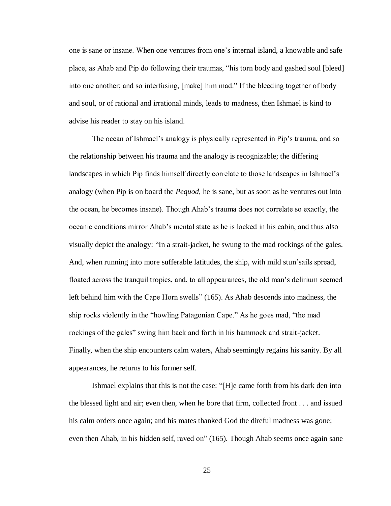one is sane or insane. When one ventures from one's internal island, a knowable and safe place, as Ahab and Pip do following their traumas, "his torn body and gashed soul [bleed] into one another; and so interfusing, [make] him mad." If the bleeding together of body and soul, or of rational and irrational minds, leads to madness, then Ishmael is kind to advise his reader to stay on his island.

The ocean of Ishmael's analogy is physically represented in Pip's trauma, and so the relationship between his trauma and the analogy is recognizable; the differing landscapes in which Pip finds himself directly correlate to those landscapes in Ishmael's analogy (when Pip is on board the *Pequod*, he is sane, but as soon as he ventures out into the ocean, he becomes insane). Though Ahab's trauma does not correlate so exactly, the oceanic conditions mirror Ahab's mental state as he is locked in his cabin, and thus also visually depict the analogy: "In a strait-jacket, he swung to the mad rockings of the gales. And, when running into more sufferable latitudes, the ship, with mild stun'sails spread, floated across the tranquil tropics, and, to all appearances, the old man's delirium seemed left behind him with the Cape Horn swells" (165). As Ahab descends into madness, the ship rocks violently in the "howling Patagonian Cape." As he goes mad, "the mad rockings of the gales" swing him back and forth in his hammock and strait-jacket. Finally, when the ship encounters calm waters, Ahab seemingly regains his sanity. By all appearances, he returns to his former self.

Ishmael explains that this is not the case: "[H]e came forth from his dark den into the blessed light and air; even then, when he bore that firm, collected front . . . and issued his calm orders once again; and his mates thanked God the direful madness was gone; even then Ahab, in his hidden self, raved on" (165). Though Ahab seems once again sane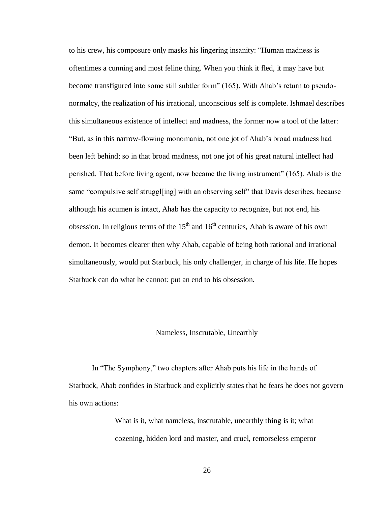to his crew, his composure only masks his lingering insanity: "Human madness is oftentimes a cunning and most feline thing. When you think it fled, it may have but become transfigured into some still subtler form" (165). With Ahab's return to pseudonormalcy, the realization of his irrational, unconscious self is complete. Ishmael describes this simultaneous existence of intellect and madness, the former now a tool of the latter: "But, as in this narrow-flowing monomania, not one jot of Ahab's broad madness had been left behind; so in that broad madness, not one jot of his great natural intellect had perished. That before living agent, now became the living instrument" (165). Ahab is the same "compulsive self struggl[ing] with an observing self" that Davis describes, because although his acumen is intact, Ahab has the capacity to recognize, but not end, his obsession. In religious terms of the  $15<sup>th</sup>$  and  $16<sup>th</sup>$  centuries, Ahab is aware of his own demon. It becomes clearer then why Ahab, capable of being both rational and irrational simultaneously, would put Starbuck, his only challenger, in charge of his life. He hopes Starbuck can do what he cannot: put an end to his obsession.

#### Nameless, Inscrutable, Unearthly

In "The Symphony," two chapters after Ahab puts his life in the hands of Starbuck, Ahab confides in Starbuck and explicitly states that he fears he does not govern his own actions:

> What is it, what nameless, inscrutable, unearthly thing is it; what cozening, hidden lord and master, and cruel, remorseless emperor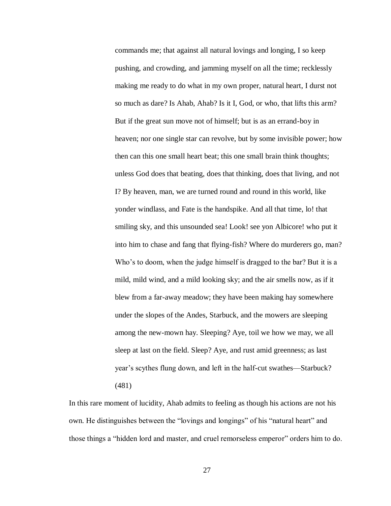commands me; that against all natural lovings and longing, I so keep pushing, and crowding, and jamming myself on all the time; recklessly making me ready to do what in my own proper, natural heart, I durst not so much as dare? Is Ahab, Ahab? Is it I, God, or who, that lifts this arm? But if the great sun move not of himself; but is as an errand-boy in heaven; nor one single star can revolve, but by some invisible power; how then can this one small heart beat; this one small brain think thoughts; unless God does that beating, does that thinking, does that living, and not I? By heaven, man, we are turned round and round in this world, like yonder windlass, and Fate is the handspike. And all that time, lo! that smiling sky, and this unsounded sea! Look! see yon Albicore! who put it into him to chase and fang that flying-fish? Where do murderers go, man? Who's to doom, when the judge himself is dragged to the bar? But it is a mild, mild wind, and a mild looking sky; and the air smells now, as if it blew from a far-away meadow; they have been making hay somewhere under the slopes of the Andes, Starbuck, and the mowers are sleeping among the new-mown hay. Sleeping? Aye, toil we how we may, we all sleep at last on the field. Sleep? Aye, and rust amid greenness; as last year's scythes flung down, and left in the half-cut swathes—Starbuck? (481)

In this rare moment of lucidity, Ahab admits to feeling as though his actions are not his own. He distinguishes between the "lovings and longings" of his "natural heart" and those things a "hidden lord and master, and cruel remorseless emperor" orders him to do.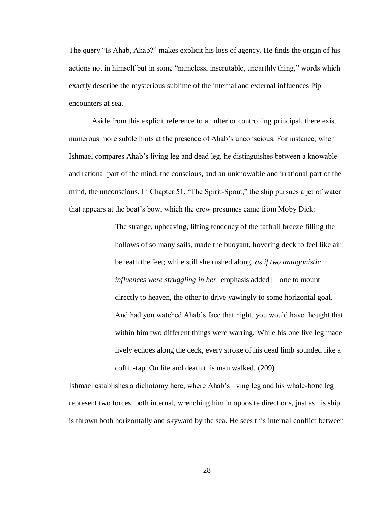The query "Is Ahab, Ahab?" makes explicit his loss of agency. He finds the origin of his actions not in himself but in some "nameless, inscrutable, unearthly thing," words which exactly describe the mysterious sublime of the internal and external influences Pip encounters at sea.

Aside from this explicit reference to an ulterior controlling principal, there exist numerous more subtle hints at the presence of Ahab's unconscious. For instance, when Ishmael compares Ahab's living leg and dead leg, he distinguishes between a knowable and rational part of the mind, the conscious, and an unknowable and irrational part of the mind, the unconscious. In Chapter 51, "The Spirit-Spout," the ship pursues a jet of water that appears at the boat's bow, which the crew presumes came from Moby Dick:

> The strange, upheaving, lifting tendency of the taffrail breeze filling the hollows of so many sails, made the buoyant, hovering deck to feel like air beneath the feet; while still she rushed along, *as if two antagonistic influences were struggling in her* [emphasis added]—one to mount directly to heaven, the other to drive yawingly to some horizontal goal. And had you watched Ahab's face that night, you would have thought that within him two different things were warring. While his one live leg made lively echoes along the deck, every stroke of his dead limb sounded like a coffin-tap. On life and death this man walked. (209)

Ishmael establishes a dichotomy here, where Ahab's living leg and his whale-bone leg represent two forces, both internal, wrenching him in opposite directions, just as his ship is thrown both horizontally and skyward by the sea. He sees this internal conflict between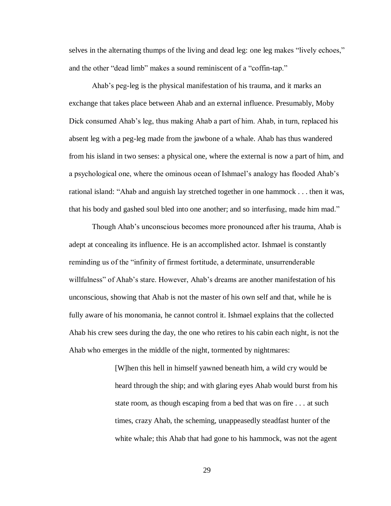selves in the alternating thumps of the living and dead leg: one leg makes "lively echoes," and the other "dead limb" makes a sound reminiscent of a "coffin-tap."

Ahab's peg-leg is the physical manifestation of his trauma, and it marks an exchange that takes place between Ahab and an external influence. Presumably, Moby Dick consumed Ahab's leg, thus making Ahab a part of him. Ahab, in turn, replaced his absent leg with a peg-leg made from the jawbone of a whale. Ahab has thus wandered from his island in two senses: a physical one, where the external is now a part of him, and a psychological one, where the ominous ocean of Ishmael's analogy has flooded Ahab's rational island: "Ahab and anguish lay stretched together in one hammock . . . then it was, that his body and gashed soul bled into one another; and so interfusing, made him mad."

Though Ahab's unconscious becomes more pronounced after his trauma, Ahab is adept at concealing its influence. He is an accomplished actor. Ishmael is constantly reminding us of the "infinity of firmest fortitude, a determinate, unsurrenderable willfulness" of Ahab's stare. However, Ahab's dreams are another manifestation of his unconscious, showing that Ahab is not the master of his own self and that, while he is fully aware of his monomania, he cannot control it. Ishmael explains that the collected Ahab his crew sees during the day, the one who retires to his cabin each night, is not the Ahab who emerges in the middle of the night, tormented by nightmares:

> [W]hen this hell in himself yawned beneath him, a wild cry would be heard through the ship; and with glaring eyes Ahab would burst from his state room, as though escaping from a bed that was on fire . . . at such times, crazy Ahab, the scheming, unappeasedly steadfast hunter of the white whale; this Ahab that had gone to his hammock, was not the agent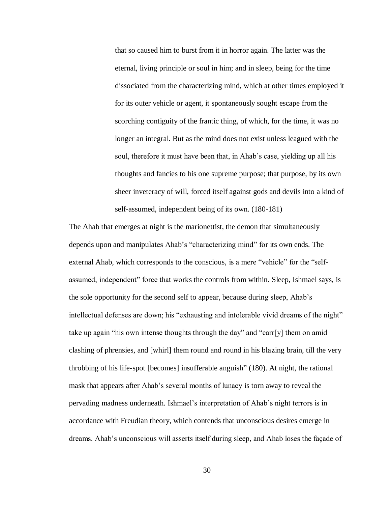that so caused him to burst from it in horror again. The latter was the eternal, living principle or soul in him; and in sleep, being for the time dissociated from the characterizing mind, which at other times employed it for its outer vehicle or agent, it spontaneously sought escape from the scorching contiguity of the frantic thing, of which, for the time, it was no longer an integral. But as the mind does not exist unless leagued with the soul, therefore it must have been that, in Ahab's case, yielding up all his thoughts and fancies to his one supreme purpose; that purpose, by its own sheer inveteracy of will, forced itself against gods and devils into a kind of self-assumed, independent being of its own. (180-181)

The Ahab that emerges at night is the marionettist, the demon that simultaneously depends upon and manipulates Ahab's "characterizing mind" for its own ends. The external Ahab, which corresponds to the conscious, is a mere "vehicle" for the "selfassumed, independent" force that works the controls from within. Sleep, Ishmael says, is the sole opportunity for the second self to appear, because during sleep, Ahab's intellectual defenses are down; his "exhausting and intolerable vivid dreams of the night" take up again "his own intense thoughts through the day" and "carr[y] them on amid clashing of phrensies, and [whirl] them round and round in his blazing brain, till the very throbbing of his life-spot [becomes] insufferable anguish" (180). At night, the rational mask that appears after Ahab's several months of lunacy is torn away to reveal the pervading madness underneath. Ishmael's interpretation of Ahab's night terrors is in accordance with Freudian theory, which contends that unconscious desires emerge in dreams. Ahab's unconscious will asserts itself during sleep, and Ahab loses the façade of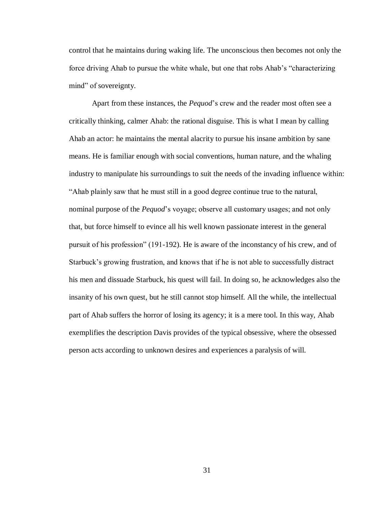control that he maintains during waking life. The unconscious then becomes not only the force driving Ahab to pursue the white whale, but one that robs Ahab's "characterizing mind" of sovereignty.

Apart from these instances, the *Pequod*'s crew and the reader most often see a critically thinking, calmer Ahab: the rational disguise. This is what I mean by calling Ahab an actor: he maintains the mental alacrity to pursue his insane ambition by sane means. He is familiar enough with social conventions, human nature, and the whaling industry to manipulate his surroundings to suit the needs of the invading influence within: "Ahab plainly saw that he must still in a good degree continue true to the natural, nominal purpose of the *Pequod*'s voyage; observe all customary usages; and not only that, but force himself to evince all his well known passionate interest in the general pursuit of his profession" (191-192). He is aware of the inconstancy of his crew, and of Starbuck's growing frustration, and knows that if he is not able to successfully distract his men and dissuade Starbuck, his quest will fail. In doing so, he acknowledges also the insanity of his own quest, but he still cannot stop himself. All the while, the intellectual part of Ahab suffers the horror of losing its agency; it is a mere tool. In this way, Ahab exemplifies the description Davis provides of the typical obsessive, where the obsessed person acts according to unknown desires and experiences a paralysis of will.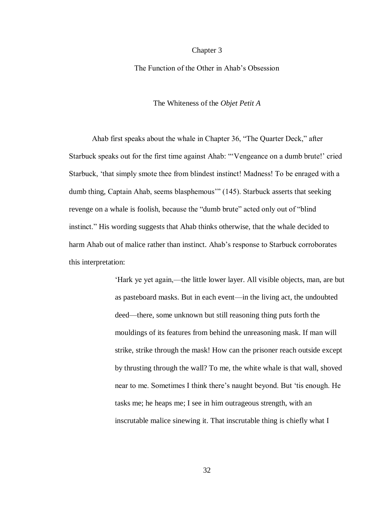#### Chapter 3

The Function of the Other in Ahab's Obsession

The Whiteness of the *Objet Petit A*

Ahab first speaks about the whale in Chapter 36, "The Quarter Deck," after Starbuck speaks out for the first time against Ahab: "'Vengeance on a dumb brute!' cried Starbuck, 'that simply smote thee from blindest instinct! Madness! To be enraged with a dumb thing, Captain Ahab, seems blasphemous'" (145). Starbuck asserts that seeking revenge on a whale is foolish, because the "dumb brute" acted only out of "blind instinct." His wording suggests that Ahab thinks otherwise, that the whale decided to harm Ahab out of malice rather than instinct. Ahab's response to Starbuck corroborates this interpretation:

> 'Hark ye yet again,—the little lower layer. All visible objects, man, are but as pasteboard masks. But in each event—in the living act, the undoubted deed—there, some unknown but still reasoning thing puts forth the mouldings of its features from behind the unreasoning mask. If man will strike, strike through the mask! How can the prisoner reach outside except by thrusting through the wall? To me, the white whale is that wall, shoved near to me. Sometimes I think there's naught beyond. But 'tis enough. He tasks me; he heaps me; I see in him outrageous strength, with an inscrutable malice sinewing it. That inscrutable thing is chiefly what I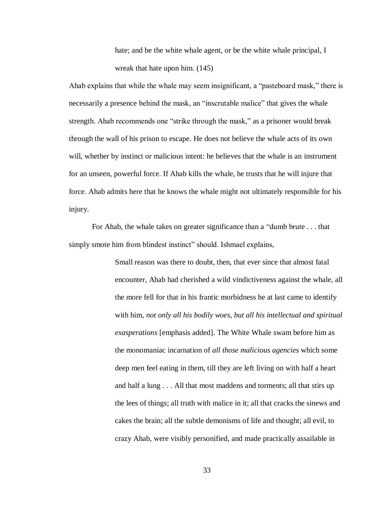hate; and be the white whale agent, or be the white whale principal, I wreak that hate upon him. (145)

Ahab explains that while the whale may seem insignificant, a "pasteboard mask," there is necessarily a presence behind the mask, an "inscrutable malice" that gives the whale strength. Ahab recommends one "strike through the mask," as a prisoner would break through the wall of his prison to escape. He does not believe the whale acts of its own will, whether by instinct or malicious intent: he believes that the whale is an instrument for an unseen, powerful force. If Ahab kills the whale, he trusts that he will injure that force. Ahab admits here that he knows the whale might not ultimately responsible for his injury.

For Ahab, the whale takes on greater significance than a "dumb brute . . . that simply smote him from blindest instinct" should. Ishmael explains,

> Small reason was there to doubt, then, that ever since that almost fatal encounter, Ahab had cherished a wild vindictiveness against the whale, all the more fell for that in his frantic morbidness he at last came to identify with him, *not only all his bodily woes, but all his intellectual and spiritual exasperations* [emphasis added]. The White Whale swam before him as the monomaniac incarnation of *all those malicious agencies* which some deep men feel eating in them, till they are left living on with half a heart and half a lung . . . All that most maddens and torments; all that stirs up the lees of things; all truth with malice in it; all that cracks the sinews and cakes the brain; all the subtle demonisms of life and thought; all evil, to crazy Ahab, were visibly personified, and made practically assailable in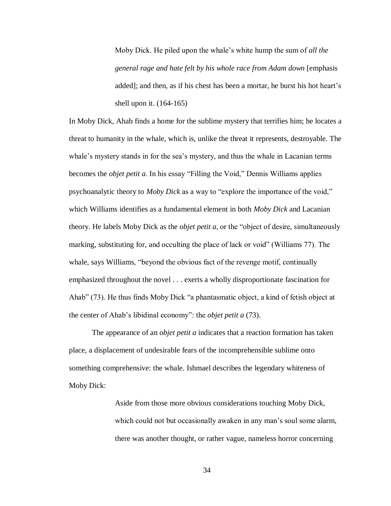Moby Dick. He piled upon the whale's white hump the sum of *all the general rage and hate felt by his whole race from Adam down* [emphasis added]; and then, as if his chest has been a mortar, he burst his hot heart's shell upon it. (164-165)

In Moby Dick, Ahab finds a home for the sublime mystery that terrifies him; he locates a threat to humanity in the whale, which is, unlike the threat it represents, destroyable. The whale's mystery stands in for the sea's mystery, and thus the whale in Lacanian terms becomes the *objet petit a*. In his essay "Filling the Void," Dennis Williams applies psychoanalytic theory to *Moby Dick* as a way to "explore the importance of the void," which Williams identifies as a fundamental element in both *Moby Dick* and Lacanian theory. He labels Moby Dick as the *objet petit a*, or the "object of desire, simultaneously marking, substituting for, and occulting the place of lack or void" (Williams 77). The whale, says Williams, "beyond the obvious fact of the revenge motif, continually emphasized throughout the novel . . . exerts a wholly disproportionate fascination for Ahab" (73). He thus finds Moby Dick "a phantasmatic object, a kind of fetish object at the center of Ahab's libidinal economy": the *objet petit a* (73).

The appearance of an *objet petit a* indicates that a reaction formation has taken place, a displacement of undesirable fears of the incomprehensible sublime onto something comprehensive: the whale. Ishmael describes the legendary whiteness of Moby Dick:

> Aside from those more obvious considerations touching Moby Dick, which could not but occasionally awaken in any man's soul some alarm, there was another thought, or rather vague, nameless horror concerning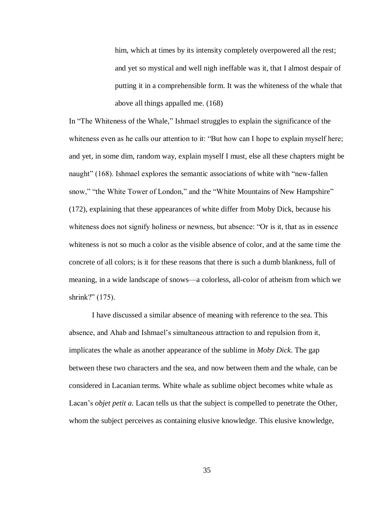him, which at times by its intensity completely overpowered all the rest; and yet so mystical and well nigh ineffable was it, that I almost despair of putting it in a comprehensible form. It was the whiteness of the whale that above all things appalled me. (168)

In "The Whiteness of the Whale," Ishmael struggles to explain the significance of the whiteness even as he calls our attention to it: "But how can I hope to explain myself here; and yet, in some dim, random way, explain myself I must, else all these chapters might be naught" (168). Ishmael explores the semantic associations of white with "new-fallen snow," "the White Tower of London," and the "White Mountains of New Hampshire" (172), explaining that these appearances of white differ from Moby Dick, because his whiteness does not signify holiness or newness, but absence: "Or is it, that as in essence whiteness is not so much a color as the visible absence of color, and at the same time the concrete of all colors; is it for these reasons that there is such a dumb blankness, full of meaning, in a wide landscape of snows—a colorless, all-color of atheism from which we shrink?" (175).

I have discussed a similar absence of meaning with reference to the sea. This absence, and Ahab and Ishmael's simultaneous attraction to and repulsion from it, implicates the whale as another appearance of the sublime in *Moby Dick*. The gap between these two characters and the sea, and now between them and the whale, can be considered in Lacanian terms. White whale as sublime object becomes white whale as Lacan's *objet petit a*. Lacan tells us that the subject is compelled to penetrate the Other, whom the subject perceives as containing elusive knowledge. This elusive knowledge,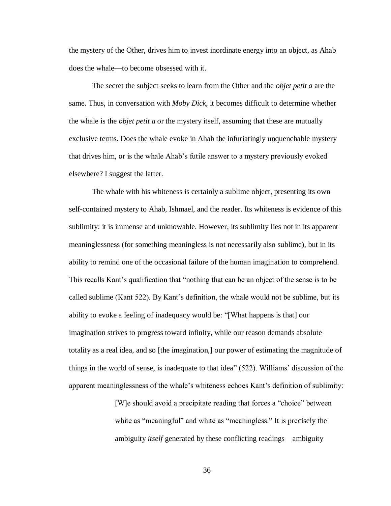the mystery of the Other, drives him to invest inordinate energy into an object, as Ahab does the whale—to become obsessed with it.

The secret the subject seeks to learn from the Other and the *objet petit a* are the same. Thus, in conversation with *Moby Dick*, it becomes difficult to determine whether the whale is the *objet petit a* or the mystery itself, assuming that these are mutually exclusive terms. Does the whale evoke in Ahab the infuriatingly unquenchable mystery that drives him, or is the whale Ahab's futile answer to a mystery previously evoked elsewhere? I suggest the latter.

The whale with his whiteness is certainly a sublime object, presenting its own self-contained mystery to Ahab, Ishmael, and the reader. Its whiteness is evidence of this sublimity: it is immense and unknowable. However, its sublimity lies not in its apparent meaninglessness (for something meaningless is not necessarily also sublime), but in its ability to remind one of the occasional failure of the human imagination to comprehend. This recalls Kant's qualification that "nothing that can be an object of the sense is to be called sublime (Kant 522). By Kant's definition, the whale would not be sublime, but its ability to evoke a feeling of inadequacy would be: "[What happens is that] our imagination strives to progress toward infinity, while our reason demands absolute totality as a real idea, and so [the imagination,] our power of estimating the magnitude of things in the world of sense, is inadequate to that idea" (522). Williams' discussion of the apparent meaninglessness of the whale's whiteness echoes Kant's definition of sublimity:

> [W]e should avoid a precipitate reading that forces a "choice" between white as "meaningful" and white as "meaningless." It is precisely the ambiguity *itself* generated by these conflicting readings—ambiguity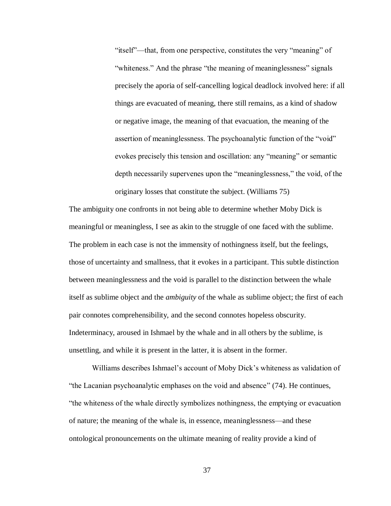"itself"—that, from one perspective, constitutes the very "meaning" of "whiteness." And the phrase "the meaning of meaninglessness" signals precisely the aporia of self-cancelling logical deadlock involved here: if all things are evacuated of meaning, there still remains, as a kind of shadow or negative image, the meaning of that evacuation, the meaning of the assertion of meaninglessness. The psychoanalytic function of the "void" evokes precisely this tension and oscillation: any "meaning" or semantic depth necessarily supervenes upon the "meaninglessness," the void, of the originary losses that constitute the subject. (Williams 75)

The ambiguity one confronts in not being able to determine whether Moby Dick is meaningful or meaningless, I see as akin to the struggle of one faced with the sublime. The problem in each case is not the immensity of nothingness itself, but the feelings, those of uncertainty and smallness, that it evokes in a participant. This subtle distinction between meaninglessness and the void is parallel to the distinction between the whale itself as sublime object and the *ambiguity* of the whale as sublime object; the first of each pair connotes comprehensibility, and the second connotes hopeless obscurity. Indeterminacy, aroused in Ishmael by the whale and in all others by the sublime, is unsettling, and while it is present in the latter, it is absent in the former.

Williams describes Ishmael's account of Moby Dick's whiteness as validation of "the Lacanian psychoanalytic emphases on the void and absence" (74). He continues, "the whiteness of the whale directly symbolizes nothingness, the emptying or evacuation of nature; the meaning of the whale is, in essence, meaninglessness—and these ontological pronouncements on the ultimate meaning of reality provide a kind of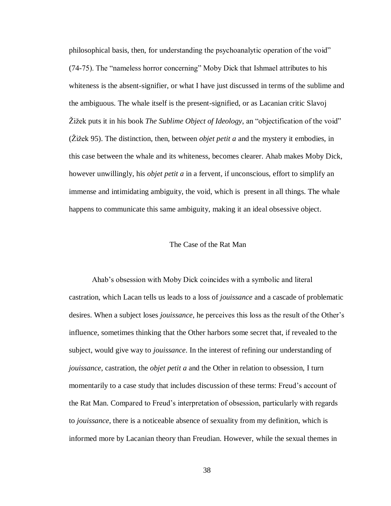philosophical basis, then, for understanding the psychoanalytic operation of the void" (74-75). The "nameless horror concerning" Moby Dick that Ishmael attributes to his whiteness is the absent-signifier, or what I have just discussed in terms of the sublime and the ambiguous. The whale itself is the present-signified, or as Lacanian critic Slavoj Žižek puts it in his book *The Sublime Object of Ideology*, an "objectification of the void" (Žižek 95). The distinction, then, between *objet petit a* and the mystery it embodies, in this case between the whale and its whiteness, becomes clearer. Ahab makes Moby Dick, however unwillingly, his *objet petit a* in a fervent, if unconscious, effort to simplify an immense and intimidating ambiguity, the void, which is present in all things. The whale happens to communicate this same ambiguity, making it an ideal obsessive object.

#### The Case of the Rat Man

Ahab's obsession with Moby Dick coincides with a symbolic and literal castration, which Lacan tells us leads to a loss of *jouissance* and a cascade of problematic desires. When a subject loses *jouissance*, he perceives this loss as the result of the Other's influence, sometimes thinking that the Other harbors some secret that, if revealed to the subject, would give way to *jouissance*. In the interest of refining our understanding of *jouissance*, castration, the *objet petit a* and the Other in relation to obsession, I turn momentarily to a case study that includes discussion of these terms: Freud's account of the Rat Man. Compared to Freud's interpretation of obsession, particularly with regards to *jouissance*, there is a noticeable absence of sexuality from my definition, which is informed more by Lacanian theory than Freudian. However, while the sexual themes in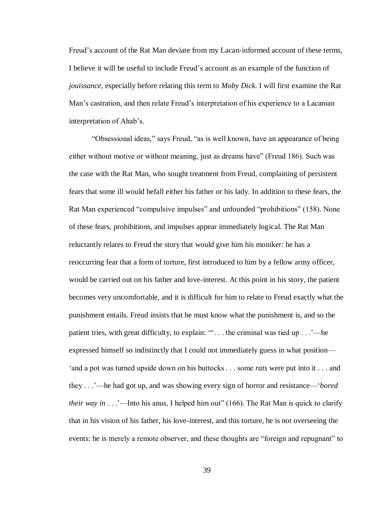Freud's account of the Rat Man deviate from my Lacan-informed account of these terms, I believe it will be useful to include Freud's account as an example of the function of *jouissance*, especially before relating this term to *Moby Dick*. I will first examine the Rat Man's castration, and then relate Freud's interpretation of his experience to a Lacanian interpretation of Ahab's.

"Obsessional ideas," says Freud, "as is well known, have an appearance of being either without motive or without meaning, just as dreams have" (Freud 186). Such was the case with the Rat Man, who sought treatment from Freud, complaining of persistent fears that some ill would befall either his father or his lady. In addition to these fears, the Rat Man experienced "compulsive impulses" and unfounded "prohibitions" (158). None of these fears, prohibitions, and impulses appear immediately logical. The Rat Man reluctantly relates to Freud the story that would give him his moniker: he has a reoccurring fear that a form of torture, first introduced to him by a fellow army officer, would be carried out on his father and love-interest. At this point in his story, the patient becomes very uncomfortable, and it is difficult for him to relate to Freud exactly what the punishment entails. Freud insists that he must know what the punishment is, and so the patient tries, with great difficulty, to explain: ""... the criminal was tied up ... '—he expressed himself so indistinctly that I could not immediately guess in what position— 'and a pot was turned upside down on his buttocks . . . some *rats* were put into it . . . and they . . .'—he had got up, and was showing every sign of horror and resistance—'*bored their way in* . . .'—Into his anus, I helped him out" (166). The Rat Man is quick to clarify that in his vision of his father, his love-interest, and this torture, he is not overseeing the events: he is merely a remote observer, and these thoughts are "foreign and repugnant" to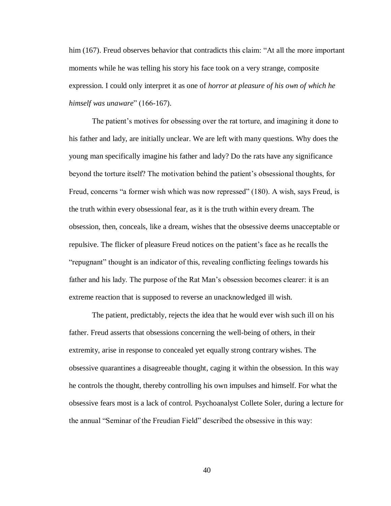him (167). Freud observes behavior that contradicts this claim: "At all the more important moments while he was telling his story his face took on a very strange, composite expression. I could only interpret it as one of *horror at pleasure of his own of which he himself was unaware*" (166-167).

The patient's motives for obsessing over the rat torture, and imagining it done to his father and lady, are initially unclear. We are left with many questions. Why does the young man specifically imagine his father and lady? Do the rats have any significance beyond the torture itself? The motivation behind the patient's obsessional thoughts, for Freud, concerns "a former wish which was now repressed" (180). A wish, says Freud, is the truth within every obsessional fear, as it is the truth within every dream. The obsession, then, conceals, like a dream, wishes that the obsessive deems unacceptable or repulsive. The flicker of pleasure Freud notices on the patient's face as he recalls the "repugnant" thought is an indicator of this, revealing conflicting feelings towards his father and his lady. The purpose of the Rat Man's obsession becomes clearer: it is an extreme reaction that is supposed to reverse an unacknowledged ill wish.

The patient, predictably, rejects the idea that he would ever wish such ill on his father. Freud asserts that obsessions concerning the well-being of others, in their extremity, arise in response to concealed yet equally strong contrary wishes. The obsessive quarantines a disagreeable thought, caging it within the obsession. In this way he controls the thought, thereby controlling his own impulses and himself. For what the obsessive fears most is a lack of control. Psychoanalyst Collete Soler, during a lecture for the annual "Seminar of the Freudian Field" described the obsessive in this way: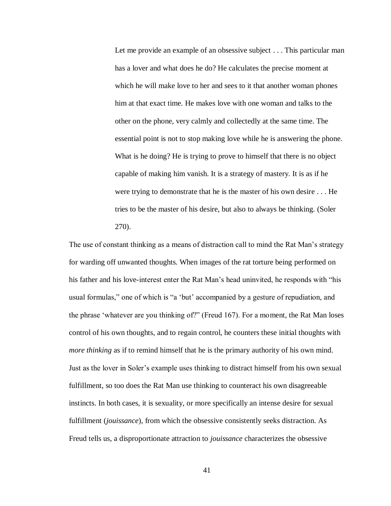Let me provide an example of an obsessive subject . . . This particular man has a lover and what does he do? He calculates the precise moment at which he will make love to her and sees to it that another woman phones him at that exact time. He makes love with one woman and talks to the other on the phone, very calmly and collectedly at the same time. The essential point is not to stop making love while he is answering the phone. What is he doing? He is trying to prove to himself that there is no object capable of making him vanish. It is a strategy of mastery. It is as if he were trying to demonstrate that he is the master of his own desire . . . He tries to be the master of his desire, but also to always be thinking. (Soler 270).

The use of constant thinking as a means of distraction call to mind the Rat Man's strategy for warding off unwanted thoughts. When images of the rat torture being performed on his father and his love-interest enter the Rat Man's head uninvited, he responds with "his usual formulas," one of which is "a 'but' accompanied by a gesture of repudiation, and the phrase 'whatever are you thinking of?" (Freud 167). For a moment, the Rat Man loses control of his own thoughts, and to regain control, he counters these initial thoughts with *more thinking* as if to remind himself that he is the primary authority of his own mind. Just as the lover in Soler's example uses thinking to distract himself from his own sexual fulfillment, so too does the Rat Man use thinking to counteract his own disagreeable instincts. In both cases, it is sexuality, or more specifically an intense desire for sexual fulfillment (*jouissance*), from which the obsessive consistently seeks distraction. As Freud tells us, a disproportionate attraction to *jouissance* characterizes the obsessive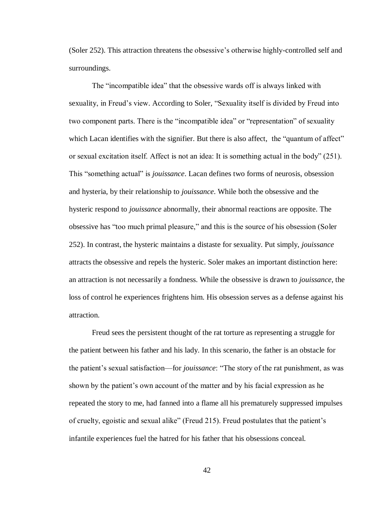(Soler 252). This attraction threatens the obsessive's otherwise highly-controlled self and surroundings.

The "incompatible idea" that the obsessive wards off is always linked with sexuality, in Freud's view. According to Soler, "Sexuality itself is divided by Freud into two component parts. There is the "incompatible idea" or "representation" of sexuality which Lacan identifies with the signifier. But there is also affect, the "quantum of affect" or sexual excitation itself. Affect is not an idea: It is something actual in the body" (251). This "something actual" is *jouissance*. Lacan defines two forms of neurosis, obsession and hysteria, by their relationship to *jouissance*. While both the obsessive and the hysteric respond to *jouissance* abnormally, their abnormal reactions are opposite. The obsessive has "too much primal pleasure," and this is the source of his obsession (Soler 252). In contrast, the hysteric maintains a distaste for sexuality. Put simply, *jouissance* attracts the obsessive and repels the hysteric. Soler makes an important distinction here: an attraction is not necessarily a fondness. While the obsessive is drawn to *jouissance*, the loss of control he experiences frightens him. His obsession serves as a defense against his attraction.

Freud sees the persistent thought of the rat torture as representing a struggle for the patient between his father and his lady. In this scenario, the father is an obstacle for the patient's sexual satisfaction—for *jouissance*: "The story of the rat punishment, as was shown by the patient's own account of the matter and by his facial expression as he repeated the story to me, had fanned into a flame all his prematurely suppressed impulses of cruelty, egoistic and sexual alike" (Freud 215). Freud postulates that the patient's infantile experiences fuel the hatred for his father that his obsessions conceal.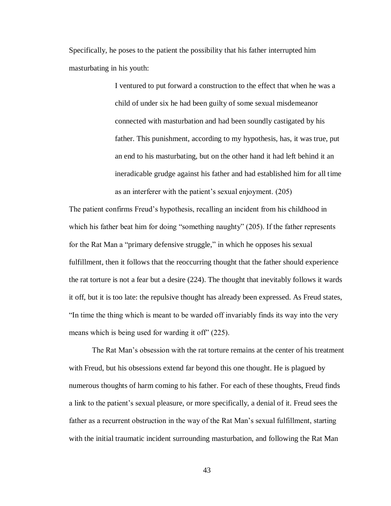Specifically, he poses to the patient the possibility that his father interrupted him masturbating in his youth:

> I ventured to put forward a construction to the effect that when he was a child of under six he had been guilty of some sexual misdemeanor connected with masturbation and had been soundly castigated by his father. This punishment, according to my hypothesis, has, it was true, put an end to his masturbating, but on the other hand it had left behind it an ineradicable grudge against his father and had established him for all time as an interferer with the patient's sexual enjoyment. (205)

The patient confirms Freud's hypothesis, recalling an incident from his childhood in which his father beat him for doing "something naughty" (205). If the father represents for the Rat Man a "primary defensive struggle," in which he opposes his sexual fulfillment, then it follows that the reoccurring thought that the father should experience the rat torture is not a fear but a desire (224). The thought that inevitably follows it wards it off, but it is too late: the repulsive thought has already been expressed. As Freud states, "In time the thing which is meant to be warded off invariably finds its way into the very means which is being used for warding it off" (225).

The Rat Man's obsession with the rat torture remains at the center of his treatment with Freud, but his obsessions extend far beyond this one thought. He is plagued by numerous thoughts of harm coming to his father. For each of these thoughts, Freud finds a link to the patient's sexual pleasure, or more specifically, a denial of it. Freud sees the father as a recurrent obstruction in the way of the Rat Man's sexual fulfillment, starting with the initial traumatic incident surrounding masturbation, and following the Rat Man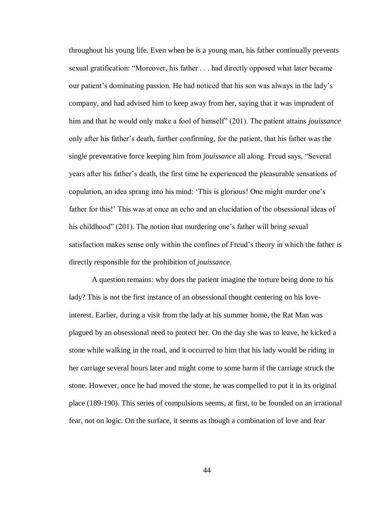throughout his young life. Even when he is a young man, his father continually prevents sexual gratification: "Moreover, his father . . . had directly opposed what later became our patient's dominating passion. He had noticed that his son was always in the lady's company, and had advised him to keep away from her, saying that it was imprudent of him and that he would only make a fool of himself" (201). The patient attains *jouissance* only after his father's death, further confirming, for the patient, that his father was the single preventative force keeping him from *jouissance* all along. Freud says, "Several years after his father's death, the first time he experienced the pleasurable sensations of copulation, an idea sprang into his mind: 'This is glorious! One might murder one's father for this!' This was at once an echo and an elucidation of the obsessional ideas of his childhood" (201). The notion that murdering one's father will bring sexual satisfaction makes sense only within the confines of Freud's theory in which the father is directly responsible for the prohibition of *jouissance*.

A question remains: why does the patient imagine the torture being done to his lady? This is not the first instance of an obsessional thought centering on his loveinterest. Earlier, during a visit from the lady at his summer home, the Rat Man was plagued by an obsessional need to protect her. On the day she was to leave, he kicked a stone while walking in the road, and it occurred to him that his lady would be riding in her carriage several hours later and might come to some harm if the carriage struck the stone. However, once he had moved the stone, he was compelled to put it in its original place (189-190). This series of compulsions seems, at first, to be founded on an irrational fear, not on logic. On the surface, it seems as though a combination of love and fear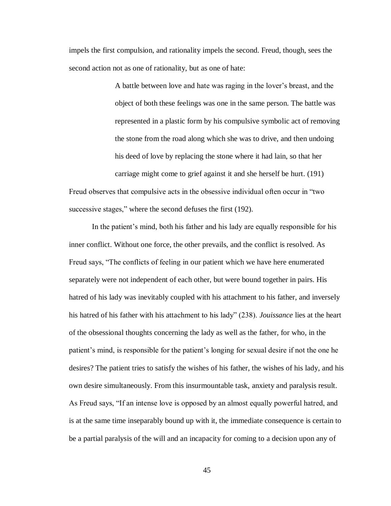impels the first compulsion, and rationality impels the second. Freud, though, sees the second action not as one of rationality, but as one of hate:

> A battle between love and hate was raging in the lover's breast, and the object of both these feelings was one in the same person. The battle was represented in a plastic form by his compulsive symbolic act of removing the stone from the road along which she was to drive, and then undoing his deed of love by replacing the stone where it had lain, so that her carriage might come to grief against it and she herself be hurt. (191)

Freud observes that compulsive acts in the obsessive individual often occur in "two successive stages," where the second defuses the first (192).

In the patient's mind, both his father and his lady are equally responsible for his inner conflict. Without one force, the other prevails, and the conflict is resolved. As Freud says, "The conflicts of feeling in our patient which we have here enumerated separately were not independent of each other, but were bound together in pairs. His hatred of his lady was inevitably coupled with his attachment to his father, and inversely his hatred of his father with his attachment to his lady" (238). *Jouissance* lies at the heart of the obsessional thoughts concerning the lady as well as the father, for who, in the patient's mind, is responsible for the patient's longing for sexual desire if not the one he desires? The patient tries to satisfy the wishes of his father, the wishes of his lady, and his own desire simultaneously. From this insurmountable task, anxiety and paralysis result. As Freud says, "If an intense love is opposed by an almost equally powerful hatred, and is at the same time inseparably bound up with it, the immediate consequence is certain to be a partial paralysis of the will and an incapacity for coming to a decision upon any of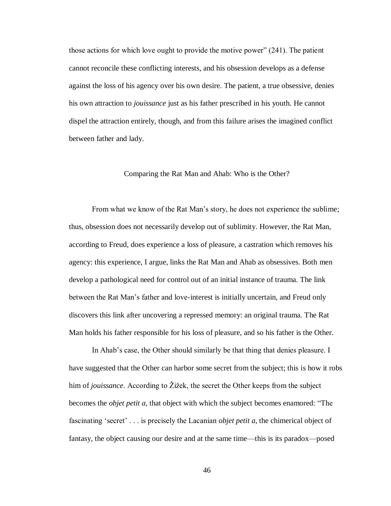those actions for which love ought to provide the motive power" (241). The patient cannot reconcile these conflicting interests, and his obsession develops as a defense against the loss of his agency over his own desire. The patient, a true obsessive, denies his own attraction to *jouissance* just as his father prescribed in his youth. He cannot dispel the attraction entirely, though, and from this failure arises the imagined conflict between father and lady.

#### Comparing the Rat Man and Ahab: Who is the Other?

From what we know of the Rat Man's story, he does not experience the sublime; thus, obsession does not necessarily develop out of sublimity. However, the Rat Man, according to Freud, does experience a loss of pleasure, a castration which removes his agency: this experience, I argue, links the Rat Man and Ahab as obsessives. Both men develop a pathological need for control out of an initial instance of trauma. The link between the Rat Man's father and love-interest is initially uncertain, and Freud only discovers this link after uncovering a repressed memory: an original trauma. The Rat Man holds his father responsible for his loss of pleasure, and so his father is the Other.

In Ahab's case, the Other should similarly be that thing that denies pleasure. I have suggested that the Other can harbor some secret from the subject; this is how it robs him of *jouissance*. According to Žižek, the secret the Other keeps from the subject becomes the *objet petit a*, that object with which the subject becomes enamored: "The fascinating 'secret' . . . is precisely the Lacanian *objet petit a*, the chimerical object of fantasy, the object causing our desire and at the same time—this is its paradox—posed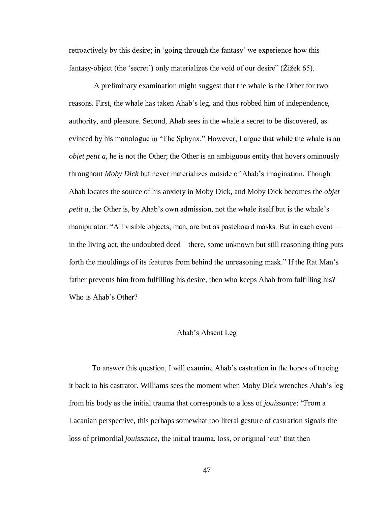retroactively by this desire; in 'going through the fantasy' we experience how this fantasy-object (the 'secret') only materializes the void of our desire" (Žižek 65).

A preliminary examination might suggest that the whale is the Other for two reasons. First, the whale has taken Ahab's leg, and thus robbed him of independence, authority, and pleasure. Second, Ahab sees in the whale a secret to be discovered, as evinced by his monologue in "The Sphynx." However, I argue that while the whale is an *objet petit a*, he is not the Other; the Other is an ambiguous entity that hovers ominously throughout *Moby Dick* but never materializes outside of Ahab's imagination. Though Ahab locates the source of his anxiety in Moby Dick, and Moby Dick becomes the *objet petit a*, the Other is, by Ahab's own admission, not the whale itself but is the whale's manipulator: "All visible objects, man, are but as pasteboard masks. But in each event in the living act, the undoubted deed—there, some unknown but still reasoning thing puts forth the mouldings of its features from behind the unreasoning mask." If the Rat Man's father prevents him from fulfilling his desire, then who keeps Ahab from fulfilling his? Who is Ahab's Other?

#### Ahab's Absent Leg

To answer this question, I will examine Ahab's castration in the hopes of tracing it back to his castrator. Williams sees the moment when Moby Dick wrenches Ahab's leg from his body as the initial trauma that corresponds to a loss of *jouissance*: "From a Lacanian perspective, this perhaps somewhat too literal gesture of castration signals the loss of primordial *jouissance*, the initial trauma, loss, or original 'cut' that then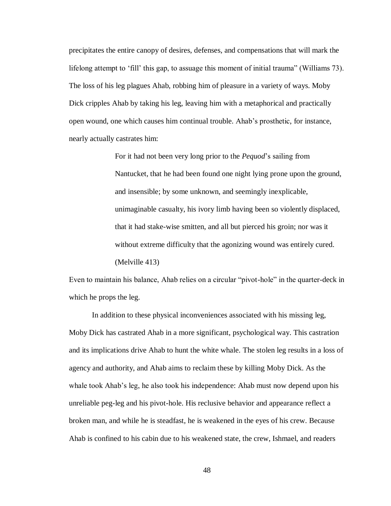precipitates the entire canopy of desires, defenses, and compensations that will mark the lifelong attempt to 'fill' this gap, to assuage this moment of initial trauma" (Williams 73). The loss of his leg plagues Ahab, robbing him of pleasure in a variety of ways. Moby Dick cripples Ahab by taking his leg, leaving him with a metaphorical and practically open wound, one which causes him continual trouble. Ahab's prosthetic, for instance, nearly actually castrates him:

> For it had not been very long prior to the *Pequod*'s sailing from Nantucket, that he had been found one night lying prone upon the ground, and insensible; by some unknown, and seemingly inexplicable, unimaginable casualty, his ivory limb having been so violently displaced, that it had stake-wise smitten, and all but pierced his groin; nor was it without extreme difficulty that the agonizing wound was entirely cured. (Melville 413)

Even to maintain his balance, Ahab relies on a circular "pivot-hole" in the quarter-deck in which he props the leg.

In addition to these physical inconveniences associated with his missing leg, Moby Dick has castrated Ahab in a more significant, psychological way. This castration and its implications drive Ahab to hunt the white whale. The stolen leg results in a loss of agency and authority, and Ahab aims to reclaim these by killing Moby Dick. As the whale took Ahab's leg, he also took his independence: Ahab must now depend upon his unreliable peg-leg and his pivot-hole. His reclusive behavior and appearance reflect a broken man, and while he is steadfast, he is weakened in the eyes of his crew. Because Ahab is confined to his cabin due to his weakened state, the crew, Ishmael, and readers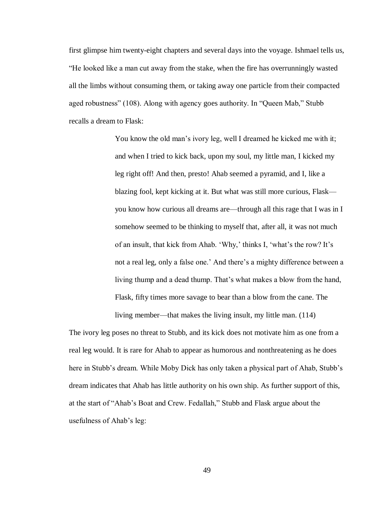first glimpse him twenty-eight chapters and several days into the voyage. Ishmael tells us, "He looked like a man cut away from the stake, when the fire has overrunningly wasted all the limbs without consuming them, or taking away one particle from their compacted aged robustness" (108). Along with agency goes authority. In "Queen Mab," Stubb recalls a dream to Flask:

> You know the old man's ivory leg, well I dreamed he kicked me with it; and when I tried to kick back, upon my soul, my little man, I kicked my leg right off! And then, presto! Ahab seemed a pyramid, and I, like a blazing fool, kept kicking at it. But what was still more curious, Flask you know how curious all dreams are—through all this rage that I was in I somehow seemed to be thinking to myself that, after all, it was not much of an insult, that kick from Ahab. 'Why,' thinks I, 'what's the row? It's not a real leg, only a false one.' And there's a mighty difference between a living thump and a dead thump. That's what makes a blow from the hand, Flask, fifty times more savage to bear than a blow from the cane. The living member—that makes the living insult, my little man. (114)

The ivory leg poses no threat to Stubb, and its kick does not motivate him as one from a real leg would. It is rare for Ahab to appear as humorous and nonthreatening as he does here in Stubb's dream. While Moby Dick has only taken a physical part of Ahab, Stubb's dream indicates that Ahab has little authority on his own ship. As further support of this, at the start of "Ahab's Boat and Crew. Fedallah," Stubb and Flask argue about the usefulness of Ahab's leg: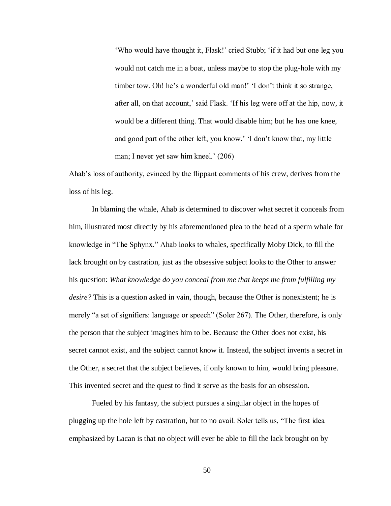'Who would have thought it, Flask!' cried Stubb; 'if it had but one leg you would not catch me in a boat, unless maybe to stop the plug-hole with my timber tow. Oh! he's a wonderful old man!' 'I don't think it so strange, after all, on that account,' said Flask. 'If his leg were off at the hip, now, it would be a different thing. That would disable him; but he has one knee, and good part of the other left, you know.' 'I don't know that, my little man; I never yet saw him kneel.' (206)

Ahab's loss of authority, evinced by the flippant comments of his crew, derives from the loss of his leg.

In blaming the whale, Ahab is determined to discover what secret it conceals from him, illustrated most directly by his aforementioned plea to the head of a sperm whale for knowledge in "The Sphynx." Ahab looks to whales, specifically Moby Dick, to fill the lack brought on by castration, just as the obsessive subject looks to the Other to answer his question: *What knowledge do you conceal from me that keeps me from fulfilling my desire?* This is a question asked in vain, though, because the Other is nonexistent; he is merely "a set of signifiers: language or speech" (Soler 267). The Other, therefore, is only the person that the subject imagines him to be. Because the Other does not exist, his secret cannot exist, and the subject cannot know it. Instead, the subject invents a secret in the Other, a secret that the subject believes, if only known to him, would bring pleasure. This invented secret and the quest to find it serve as the basis for an obsession.

Fueled by his fantasy, the subject pursues a singular object in the hopes of plugging up the hole left by castration, but to no avail. Soler tells us, "The first idea emphasized by Lacan is that no object will ever be able to fill the lack brought on by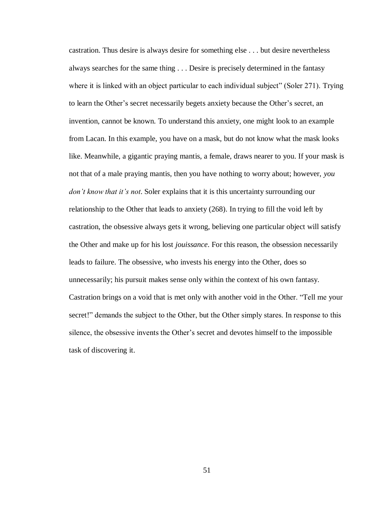castration. Thus desire is always desire for something else . . . but desire nevertheless always searches for the same thing . . . Desire is precisely determined in the fantasy where it is linked with an object particular to each individual subject" (Soler 271). Trying to learn the Other's secret necessarily begets anxiety because the Other's secret, an invention, cannot be known. To understand this anxiety, one might look to an example from Lacan. In this example, you have on a mask, but do not know what the mask looks like. Meanwhile, a gigantic praying mantis, a female, draws nearer to you. If your mask is not that of a male praying mantis, then you have nothing to worry about; however, *you don't know that it's not*. Soler explains that it is this uncertainty surrounding our relationship to the Other that leads to anxiety (268). In trying to fill the void left by castration, the obsessive always gets it wrong, believing one particular object will satisfy the Other and make up for his lost *jouissance*. For this reason, the obsession necessarily leads to failure. The obsessive, who invests his energy into the Other, does so unnecessarily; his pursuit makes sense only within the context of his own fantasy. Castration brings on a void that is met only with another void in the Other. "Tell me your secret!" demands the subject to the Other, but the Other simply stares. In response to this silence, the obsessive invents the Other's secret and devotes himself to the impossible task of discovering it.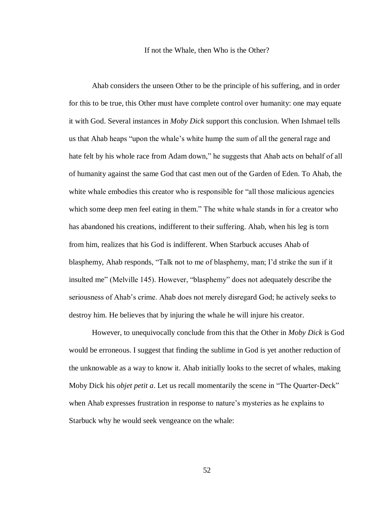#### If not the Whale, then Who is the Other?

Ahab considers the unseen Other to be the principle of his suffering, and in order for this to be true, this Other must have complete control over humanity: one may equate it with God. Several instances in *Moby Dick* support this conclusion. When Ishmael tells us that Ahab heaps "upon the whale's white hump the sum of all the general rage and hate felt by his whole race from Adam down," he suggests that Ahab acts on behalf of all of humanity against the same God that cast men out of the Garden of Eden. To Ahab, the white whale embodies this creator who is responsible for "all those malicious agencies" which some deep men feel eating in them." The white whale stands in for a creator who has abandoned his creations, indifferent to their suffering. Ahab, when his leg is torn from him, realizes that his God is indifferent. When Starbuck accuses Ahab of blasphemy, Ahab responds, "Talk not to me of blasphemy, man; I'd strike the sun if it insulted me" (Melville 145). However, "blasphemy" does not adequately describe the seriousness of Ahab's crime. Ahab does not merely disregard God; he actively seeks to destroy him. He believes that by injuring the whale he will injure his creator.

However, to unequivocally conclude from this that the Other in *Moby Dick* is God would be erroneous. I suggest that finding the sublime in God is yet another reduction of the unknowable as a way to know it. Ahab initially looks to the secret of whales, making Moby Dick his *objet petit a*. Let us recall momentarily the scene in "The Quarter-Deck" when Ahab expresses frustration in response to nature's mysteries as he explains to Starbuck why he would seek vengeance on the whale: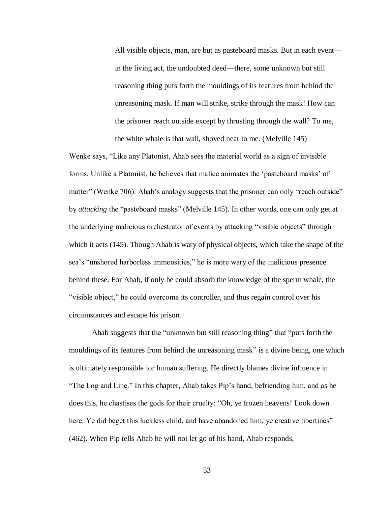All visible objects, man, are but as pasteboard masks. But in each event in the living act, the undoubted deed—there, some unknown but still reasoning thing puts forth the mouldings of its features from behind the unreasoning mask. If man will strike, strike through the mask! How can the prisoner reach outside except by thrusting through the wall? To me, the white whale is that wall, shoved near to me. (Melville 145)

Wenke says, "Like any Platonist, Ahab sees the material world as a sign of invisible forms. Unlike a Platonist, he believes that malice animates the 'pasteboard masks' of matter" (Wenke 706). Ahab's analogy suggests that the prisoner can only "reach outside" by *attacking* the "pasteboard masks" (Melville 145). In other words, one can only get at the underlying malicious orchestrator of events by attacking "visible objects" through which it acts (145). Though Ahab is wary of physical objects, which take the shape of the sea's "unshored harborless immensities," he is more wary of the malicious presence behind these. For Ahab, if only he could absorb the knowledge of the sperm whale, the "visible object," he could overcome its controller, and thus regain control over his circumstances and escape his prison.

Ahab suggests that the "unknown but still reasoning thing" that "puts forth the mouldings of its features from behind the unreasoning mask" is a divine being, one which is ultimately responsible for human suffering. He directly blames divine influence in "The Log and Line." In this chapter, Ahab takes Pip's hand, befriending him, and as he does this, he chastises the gods for their cruelty: "Oh, ye frozen heavens! Look down here. Ye did beget this luckless child, and have abandoned him, ye creative libertines" (462). When Pip tells Ahab he will not let go of his hand, Ahab responds,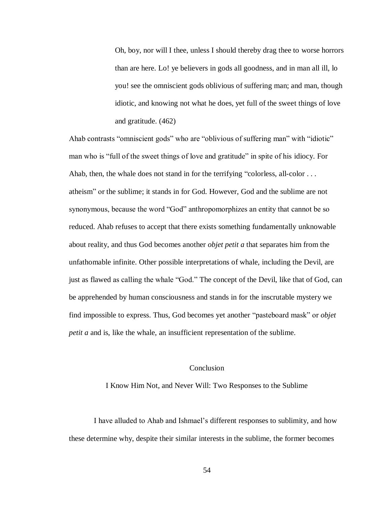Oh, boy, nor will I thee, unless I should thereby drag thee to worse horrors than are here. Lo! ye believers in gods all goodness, and in man all ill, lo you! see the omniscient gods oblivious of suffering man; and man, though idiotic, and knowing not what he does, yet full of the sweet things of love and gratitude. (462)

Ahab contrasts "omniscient gods" who are "oblivious of suffering man" with "idiotic" man who is "full of the sweet things of love and gratitude" in spite of his idiocy. For Ahab, then, the whale does not stand in for the terrifying "colorless, all-color . . . atheism" or the sublime; it stands in for God. However, God and the sublime are not synonymous, because the word "God" anthropomorphizes an entity that cannot be so reduced. Ahab refuses to accept that there exists something fundamentally unknowable about reality, and thus God becomes another *objet petit a* that separates him from the unfathomable infinite. Other possible interpretations of whale, including the Devil, are just as flawed as calling the whale "God." The concept of the Devil, like that of God, can be apprehended by human consciousness and stands in for the inscrutable mystery we find impossible to express. Thus, God becomes yet another "pasteboard mask" or *objet petit a* and is, like the whale, an insufficient representation of the sublime.

## Conclusion

#### I Know Him Not, and Never Will: Two Responses to the Sublime

I have alluded to Ahab and Ishmael's different responses to sublimity, and how these determine why, despite their similar interests in the sublime, the former becomes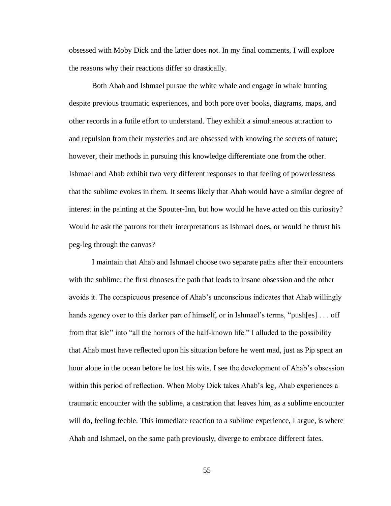obsessed with Moby Dick and the latter does not. In my final comments, I will explore the reasons why their reactions differ so drastically.

Both Ahab and Ishmael pursue the white whale and engage in whale hunting despite previous traumatic experiences, and both pore over books, diagrams, maps, and other records in a futile effort to understand. They exhibit a simultaneous attraction to and repulsion from their mysteries and are obsessed with knowing the secrets of nature; however, their methods in pursuing this knowledge differentiate one from the other. Ishmael and Ahab exhibit two very different responses to that feeling of powerlessness that the sublime evokes in them. It seems likely that Ahab would have a similar degree of interest in the painting at the Spouter-Inn, but how would he have acted on this curiosity? Would he ask the patrons for their interpretations as Ishmael does, or would he thrust his peg-leg through the canvas?

I maintain that Ahab and Ishmael choose two separate paths after their encounters with the sublime; the first chooses the path that leads to insane obsession and the other avoids it. The conspicuous presence of Ahab's unconscious indicates that Ahab willingly hands agency over to this darker part of himself, or in Ishmael's terms, "push[es] ... off from that isle" into "all the horrors of the half-known life." I alluded to the possibility that Ahab must have reflected upon his situation before he went mad, just as Pip spent an hour alone in the ocean before he lost his wits. I see the development of Ahab's obsession within this period of reflection. When Moby Dick takes Ahab's leg, Ahab experiences a traumatic encounter with the sublime, a castration that leaves him, as a sublime encounter will do, feeling feeble. This immediate reaction to a sublime experience, I argue, is where Ahab and Ishmael, on the same path previously, diverge to embrace different fates.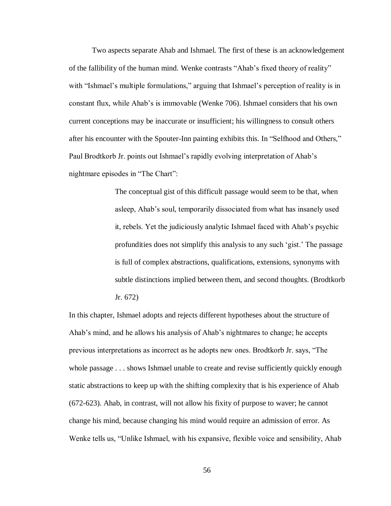Two aspects separate Ahab and Ishmael. The first of these is an acknowledgement of the fallibility of the human mind. Wenke contrasts "Ahab's fixed theory of reality" with "Ishmael's multiple formulations," arguing that Ishmael's perception of reality is in constant flux, while Ahab's is immovable (Wenke 706). Ishmael considers that his own current conceptions may be inaccurate or insufficient; his willingness to consult others after his encounter with the Spouter-Inn painting exhibits this. In "Selfhood and Others," Paul Brodtkorb Jr. points out Ishmael's rapidly evolving interpretation of Ahab's nightmare episodes in "The Chart":

> The conceptual gist of this difficult passage would seem to be that, when asleep, Ahab's soul, temporarily dissociated from what has insanely used it, rebels. Yet the judiciously analytic Ishmael faced with Ahab's psychic profundities does not simplify this analysis to any such 'gist.' The passage is full of complex abstractions, qualifications, extensions, synonyms with subtle distinctions implied between them, and second thoughts. (Brodtkorb Jr. 672)

In this chapter, Ishmael adopts and rejects different hypotheses about the structure of Ahab's mind, and he allows his analysis of Ahab's nightmares to change; he accepts previous interpretations as incorrect as he adopts new ones. Brodtkorb Jr. says, "The whole passage  $\dots$  shows Ishmael unable to create and revise sufficiently quickly enough static abstractions to keep up with the shifting complexity that is his experience of Ahab (672-623). Ahab, in contrast, will not allow his fixity of purpose to waver; he cannot change his mind, because changing his mind would require an admission of error. As Wenke tells us, "Unlike Ishmael, with his expansive, flexible voice and sensibility, Ahab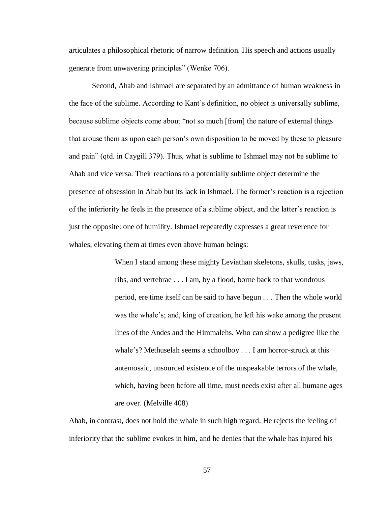articulates a philosophical rhetoric of narrow definition. His speech and actions usually generate from unwavering principles" (Wenke 706).

Second, Ahab and Ishmael are separated by an admittance of human weakness in the face of the sublime. According to Kant's definition, no object is universally sublime, because sublime objects come about "not so much [from] the nature of external things that arouse them as upon each person's own disposition to be moved by these to pleasure and pain" (qtd. in Caygill 379). Thus, what is sublime to Ishmael may not be sublime to Ahab and vice versa. Their reactions to a potentially sublime object determine the presence of obsession in Ahab but its lack in Ishmael. The former's reaction is a rejection of the inferiority he feels in the presence of a sublime object, and the latter's reaction is just the opposite: one of humility. Ishmael repeatedly expresses a great reverence for whales, elevating them at times even above human beings:

> When I stand among these mighty Leviathan skeletons, skulls, tusks, jaws, ribs, and vertebrae . . . I am, by a flood, borne back to that wondrous period, ere time itself can be said to have begun . . . Then the whole world was the whale's; and, king of creation, he left his wake among the present lines of the Andes and the Himmalehs. Who can show a pedigree like the whale's? Methuselah seems a schoolboy . . . I am horror-struck at this antemosaic, unsourced existence of the unspeakable terrors of the whale, which, having been before all time, must needs exist after all humane ages are over. (Melville 408)

Ahab, in contrast, does not hold the whale in such high regard. He rejects the feeling of inferiority that the sublime evokes in him, and he denies that the whale has injured his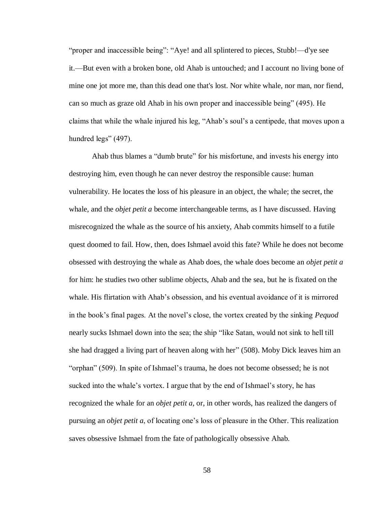"proper and inaccessible being": "Aye! and all splintered to pieces, Stubb!—d'ye see it.—But even with a broken bone, old Ahab is untouched; and I account no living bone of mine one jot more me, than this dead one that's lost. Nor white whale, nor man, nor fiend, can so much as graze old Ahab in his own proper and inaccessible being" (495). He claims that while the whale injured his leg, "Ahab's soul's a centipede, that moves upon a hundred legs" (497).

Ahab thus blames a "dumb brute" for his misfortune, and invests his energy into destroying him, even though he can never destroy the responsible cause: human vulnerability. He locates the loss of his pleasure in an object, the whale; the secret, the whale, and the *objet petit a* become interchangeable terms, as I have discussed. Having misrecognized the whale as the source of his anxiety, Ahab commits himself to a futile quest doomed to fail. How, then, does Ishmael avoid this fate? While he does not become obsessed with destroying the whale as Ahab does, the whale does become an *objet petit a* for him: he studies two other sublime objects, Ahab and the sea, but he is fixated on the whale. His flirtation with Ahab's obsession, and his eventual avoidance of it is mirrored in the book's final pages. At the novel's close, the vortex created by the sinking *Pequod* nearly sucks Ishmael down into the sea; the ship "like Satan, would not sink to hell till she had dragged a living part of heaven along with her" (508). Moby Dick leaves him an "orphan" (509). In spite of Ishmael's trauma, he does not become obsessed; he is not sucked into the whale's vortex. I argue that by the end of Ishmael's story, he has recognized the whale for an *objet petit a*, or, in other words, has realized the dangers of pursuing an *objet petit a*, of locating one's loss of pleasure in the Other. This realization saves obsessive Ishmael from the fate of pathologically obsessive Ahab.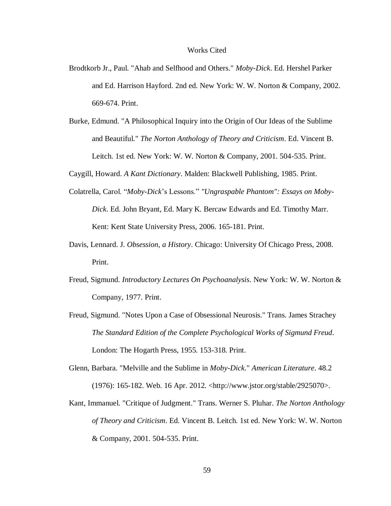#### Works Cited

- Brodtkorb Jr., Paul. "Ahab and Selfhood and Others." *Moby-Dick*. Ed. Hershel Parker and Ed. Harrison Hayford. 2nd ed. New York: W. W. Norton & Company, 2002. 669-674. Print.
- Burke, Edmund. "A Philosophical Inquiry into the Origin of Our Ideas of the Sublime and Beautiful." *The Norton Anthology of Theory and Criticism*. Ed. Vincent B. Leitch. 1st ed. New York: W. W. Norton & Company, 2001. 504-535. Print.

Caygill, Howard. *A Kant Dictionary*. Malden: Blackwell Publishing, 1985. Print.

- Colatrella, Carol. "*Moby-Dick*'s Lessons." *"Ungraspable Phantom": Essays on Moby-Dick*. Ed. John Bryant, Ed. Mary K. Bercaw Edwards and Ed. Timothy Marr. Kent: Kent State University Press, 2006. 165-181. Print.
- Davis, Lennard. J. *Obsession, a History*. Chicago: University Of Chicago Press, 2008. Print.
- Freud, Sigmund. *Introductory Lectures On Psychoanalysis*. New York: W. W. Norton & Company, 1977. Print.
- Freud, Sigmund. "Notes Upon a Case of Obsessional Neurosis." Trans. James Strachey *The Standard Edition of the Complete Psychological Works of Sigmund Freud*. London: The Hogarth Press, 1955. 153-318. Print.
- Glenn, Barbara. "Melville and the Sublime in *Moby-Dick*." *American Literature*. 48.2 (1976): 165-182. Web. 16 Apr. 2012. <http://www.jstor.org/stable/2925070>.
- Kant, Immanuel. "Critique of Judgment." Trans. Werner S. Pluhar. *The Norton Anthology of Theory and Criticism*. Ed. Vincent B. Leitch. 1st ed. New York: W. W. Norton & Company, 2001. 504-535. Print.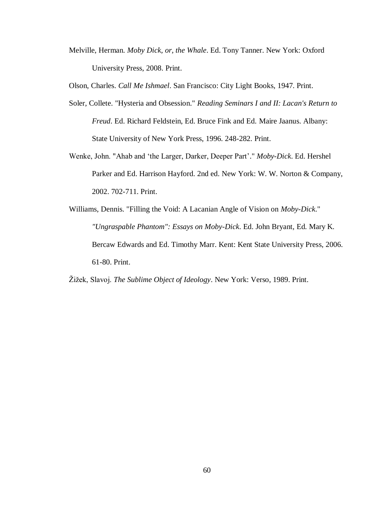Melville, Herman. *Moby Dick, or, the Whale*. Ed. Tony Tanner. New York: Oxford University Press, 2008. Print.

Olson, Charles. *Call Me Ishmael*. San Francisco: City Light Books, 1947. Print.

- Soler, Collete. "Hysteria and Obsession." *Reading Seminars I and II: Lacan's Return to Freud*. Ed. Richard Feldstein, Ed. Bruce Fink and Ed. Maire Jaanus. Albany: State University of New York Press, 1996. 248-282. Print.
- Wenke, John. "Ahab and 'the Larger, Darker, Deeper Part'." *Moby-Dick*. Ed. Hershel Parker and Ed. Harrison Hayford. 2nd ed. New York: W. W. Norton & Company, 2002. 702-711. Print.
- Williams, Dennis. "Filling the Void: A Lacanian Angle of Vision on *Moby-Dick*." *"Ungraspable Phantom": Essays on Moby-Dick*. Ed. John Bryant, Ed. Mary K. Bercaw Edwards and Ed. Timothy Marr. Kent: Kent State University Press, 2006. 61-80. Print.

Žižek, Slavoj. *The Sublime Object of Ideology*. New York: Verso, 1989. Print.